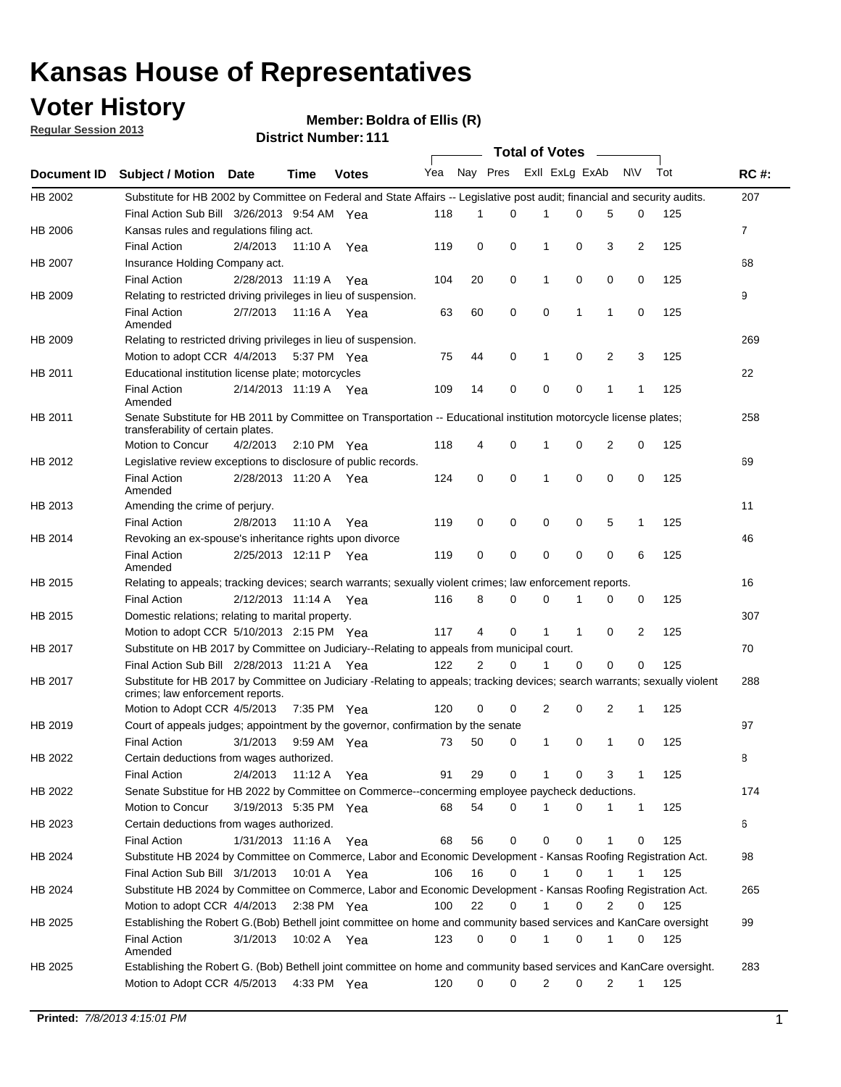## **Voter History**

**Member: Boldra of Ellis (R)** 

**Regular Session 2013**

|                    |                                                                                                                                                                |                       | ו ו . ושעווואדו אטוואכ |              |              |    | Total of Votes – |                |              |                |                |     |                |
|--------------------|----------------------------------------------------------------------------------------------------------------------------------------------------------------|-----------------------|------------------------|--------------|--------------|----|------------------|----------------|--------------|----------------|----------------|-----|----------------|
| <b>Document ID</b> | <b>Subject / Motion Date</b>                                                                                                                                   |                       | Time                   | <b>Votes</b> | Yea Nay Pres |    |                  | Exll ExLg ExAb |              |                | N\V            | Tot | <b>RC#:</b>    |
| HB 2002            | Substitute for HB 2002 by Committee on Federal and State Affairs -- Legislative post audit; financial and security audits.                                     |                       |                        |              |              |    |                  |                |              |                |                |     | 207            |
|                    | Final Action Sub Bill 3/26/2013 9:54 AM Yea                                                                                                                    |                       |                        |              | 118          | 1  | $\Omega$         |                | 0            | 5              | 0              | 125 |                |
| HB 2006            | Kansas rules and regulations filing act.                                                                                                                       |                       |                        |              |              |    |                  |                |              |                |                |     | $\overline{7}$ |
|                    | <b>Final Action</b>                                                                                                                                            | 2/4/2013              | 11:10 A Yea            |              | 119          | 0  | 0                | 1              | 0            | 3              | $\overline{2}$ | 125 |                |
| HB 2007            | Insurance Holding Company act.                                                                                                                                 |                       |                        |              |              |    |                  |                |              |                |                |     | 68             |
|                    | <b>Final Action</b>                                                                                                                                            | 2/28/2013 11:19 A     |                        | Yea          | 104          | 20 | 0                | 1              | 0            | 0              | 0              | 125 |                |
| HB 2009            | Relating to restricted driving privileges in lieu of suspension.                                                                                               |                       |                        |              |              |    |                  |                |              |                |                |     | 9              |
|                    | <b>Final Action</b><br>Amended                                                                                                                                 | 2/7/2013              | 11:16 A Yea            |              | 63           | 60 | 0                | 0              | 1            | 1              | 0              | 125 |                |
| HB 2009            | Relating to restricted driving privileges in lieu of suspension.                                                                                               |                       |                        |              |              |    |                  |                |              |                |                |     | 269            |
|                    | Motion to adopt CCR 4/4/2013                                                                                                                                   |                       | 5:37 PM Yea            |              | 75           | 44 | 0                | 1              | 0            | 2              | 3              | 125 |                |
| HB 2011            | Educational institution license plate; motorcycles                                                                                                             |                       |                        |              |              |    |                  |                |              |                |                |     | 22             |
|                    | <b>Final Action</b><br>Amended                                                                                                                                 | 2/14/2013 11:19 A Yea |                        |              | 109          | 14 | 0                | 0              | 0            | 1              | 1              | 125 |                |
| HB 2011            | Senate Substitute for HB 2011 by Committee on Transportation -- Educational institution motorcycle license plates;<br>transferability of certain plates.       |                       |                        |              |              |    |                  |                |              |                |                |     | 258            |
|                    | Motion to Concur                                                                                                                                               | 4/2/2013              | $2:10 \text{ PM}$ Yea  |              | 118          | 4  | 0                | $\mathbf 1$    | 0            | $\overline{2}$ | 0              | 125 |                |
| HB 2012            | Legislative review exceptions to disclosure of public records.                                                                                                 |                       |                        |              |              |    |                  |                |              |                |                |     | 69             |
|                    | <b>Final Action</b><br>Amended                                                                                                                                 | 2/28/2013 11:20 A Yea |                        |              | 124          | 0  | 0                | 1              | 0            | 0              | 0              | 125 |                |
| HB 2013            | Amending the crime of perjury.                                                                                                                                 |                       |                        |              |              |    |                  |                |              |                |                |     | 11             |
|                    | <b>Final Action</b>                                                                                                                                            | 2/8/2013              | 11:10 A                | Yea          | 119          | 0  | 0                | 0              | 0            | 5              | 1              | 125 |                |
| HB 2014            | Revoking an ex-spouse's inheritance rights upon divorce                                                                                                        |                       |                        |              |              |    |                  |                |              |                |                |     | 46             |
|                    | <b>Final Action</b><br>Amended                                                                                                                                 | 2/25/2013 12:11 P     |                        | Yea          | 119          | 0  | $\mathbf 0$      | 0              | 0            | 0              | 6              | 125 |                |
| HB 2015            | Relating to appeals; tracking devices; search warrants; sexually violent crimes; law enforcement reports.                                                      |                       |                        |              |              |    |                  |                |              |                |                |     | 16             |
|                    | <b>Final Action</b>                                                                                                                                            | 2/12/2013 11:14 A     |                        | Yea          | 116          | 8  | 0                | 0              | 1            | 0              | 0              | 125 |                |
| HB 2015            | Domestic relations; relating to marital property.                                                                                                              |                       |                        |              |              |    |                  |                |              |                |                |     | 307            |
|                    | Motion to adopt CCR 5/10/2013 2:15 PM Yea                                                                                                                      |                       |                        |              | 117          | 4  | 0                | $\mathbf{1}$   | $\mathbf{1}$ | 0              | 2              | 125 |                |
| HB 2017            | Substitute on HB 2017 by Committee on Judiciary--Relating to appeals from municipal court.                                                                     |                       |                        |              |              |    |                  |                |              |                |                |     | 70             |
|                    | Final Action Sub Bill 2/28/2013 11:21 A Yea                                                                                                                    |                       |                        |              | 122          | 2  | 0                | 1              | 0            | 0              | 0              | 125 |                |
| HB 2017            | Substitute for HB 2017 by Committee on Judiciary -Relating to appeals; tracking devices; search warrants; sexually violent<br>crimes; law enforcement reports. |                       |                        |              |              |    |                  |                |              |                |                |     | 288            |
|                    | Motion to Adopt CCR 4/5/2013                                                                                                                                   |                       | 7:35 PM Yea            |              | 120          | 0  | 0                | 2              | 0            | 2              | 1              | 125 |                |
| HB 2019            | Court of appeals judges; appointment by the governor, confirmation by the senate                                                                               |                       |                        |              |              |    |                  |                |              |                |                |     | 97             |
|                    | Final Action                                                                                                                                                   | 3/1/2013              | 9:59 AM Yea            |              | 73           | 50 | 0                | 1              | 0            | 1              | 0              | 125 |                |
| HB 2022            | Certain deductions from wages authorized.                                                                                                                      |                       |                        |              |              |    |                  |                |              |                |                |     | 8              |
|                    | <b>Final Action</b>                                                                                                                                            | 2/4/2013              | 11:12 A                | Yea          | 91           | 29 | 0                |                | 0            | 3              | 1              | 125 |                |
| HB 2022            | Senate Substitue for HB 2022 by Committee on Commerce--concerming employee paycheck deductions.                                                                |                       |                        |              |              |    |                  |                |              |                |                |     | 174            |
|                    | Motion to Concur                                                                                                                                               | 3/19/2013 5:35 PM Yea |                        |              | 68           | 54 | 0                | 1              | 0            | 1              | $\mathbf{1}$   | 125 |                |
| HB 2023            | Certain deductions from wages authorized.                                                                                                                      |                       |                        |              |              |    |                  |                |              |                |                |     | 6              |
|                    | Final Action                                                                                                                                                   | 1/31/2013 11:16 A     |                        | Yea          | 68           | 56 | 0                | 0              | 0            | 1              | 0              | 125 |                |
| HB 2024            | Substitute HB 2024 by Committee on Commerce, Labor and Economic Development - Kansas Roofing Registration Act.                                                 |                       |                        |              |              |    |                  |                |              |                |                |     | 98             |
|                    | Final Action Sub Bill 3/1/2013                                                                                                                                 |                       | 10:01 A Yea            |              | 106          | 16 | 0                | 1              | 0            | 1              | 1              | 125 |                |
| HB 2024            | Substitute HB 2024 by Committee on Commerce, Labor and Economic Development - Kansas Roofing Registration Act.                                                 |                       |                        |              |              |    |                  |                |              |                |                |     | 265            |
|                    | Motion to adopt CCR 4/4/2013                                                                                                                                   |                       | 2:38 PM Yea            |              | 100          | 22 | 0                | 1              | 0            | 2              | 0              | 125 |                |
| HB 2025            | Establishing the Robert G.(Bob) Bethell joint committee on home and community based services and KanCare oversight                                             |                       |                        |              |              |    |                  |                |              |                |                |     | 99             |
|                    | <b>Final Action</b><br>Amended                                                                                                                                 | 3/1/2013              | 10:02 A Yea            |              | 123          | 0  | 0                | $\mathbf{1}$   | 0            | 1              | 0              | 125 |                |
| HB 2025            | Establishing the Robert G. (Bob) Bethell joint committee on home and community based services and KanCare oversight.                                           |                       |                        |              |              |    |                  |                |              |                |                |     | 283            |
|                    | Motion to Adopt CCR 4/5/2013                                                                                                                                   |                       | 4:33 PM Yea            |              | 120          | 0  | 0                | 2              | 0            | $\overline{2}$ | $\mathbf{1}$   | 125 |                |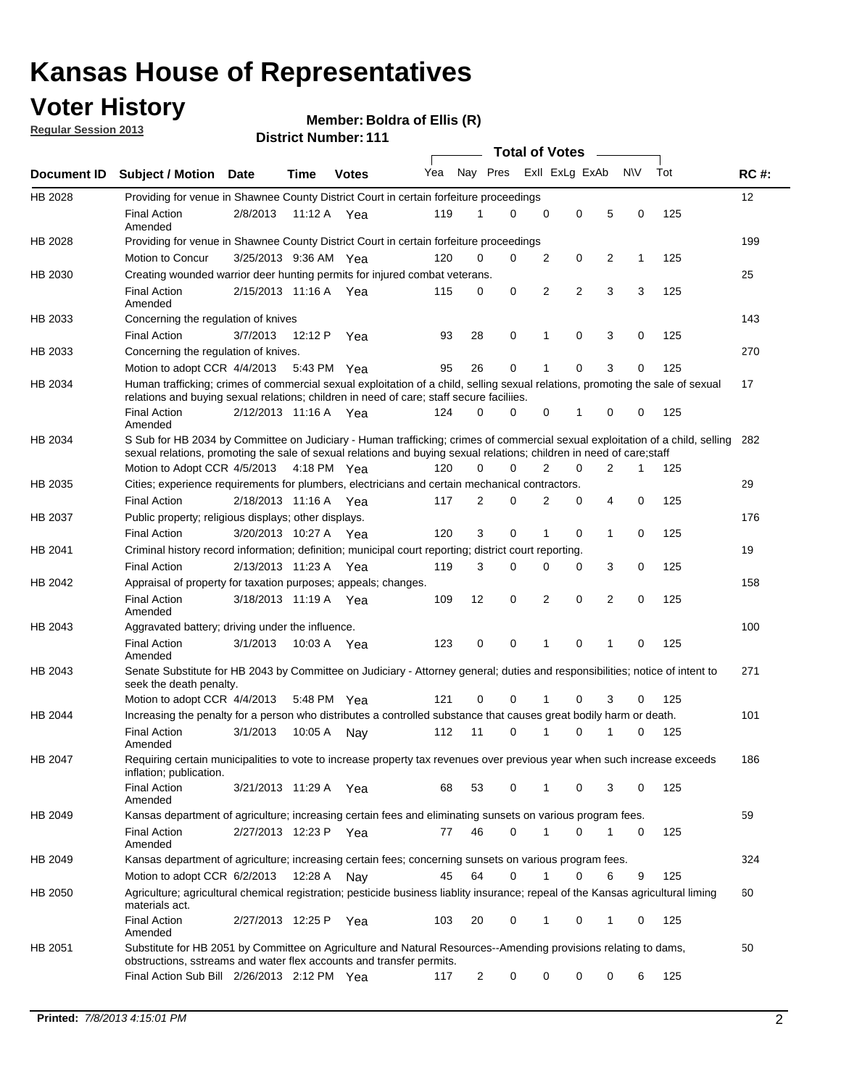## **Voter History**

**Member: Boldra of Ellis (R)** 

**Regular Session 2013**

|             |                                                                                                                                                                                                                                                       |                       |         |              |     |                | <b>Total of Votes</b> |   |                |                |           |     |             |
|-------------|-------------------------------------------------------------------------------------------------------------------------------------------------------------------------------------------------------------------------------------------------------|-----------------------|---------|--------------|-----|----------------|-----------------------|---|----------------|----------------|-----------|-----|-------------|
| Document ID | <b>Subject / Motion Date</b>                                                                                                                                                                                                                          |                       | Time    | <b>Votes</b> | Yea | Nay Pres       |                       |   | Exll ExLg ExAb |                | <b>NV</b> | Tot | <b>RC#:</b> |
| HB 2028     | Providing for venue in Shawnee County District Court in certain forfeiture proceedings                                                                                                                                                                |                       |         |              |     |                |                       |   |                |                |           |     | 12          |
|             | <b>Final Action</b><br>Amended                                                                                                                                                                                                                        | 2/8/2013              |         | 11:12 A Yea  | 119 | 1              | $\Omega$              | 0 | 0              | 5              | 0         | 125 |             |
| HB 2028     | Providing for venue in Shawnee County District Court in certain forfeiture proceedings                                                                                                                                                                |                       |         |              |     |                |                       |   |                |                |           |     | 199         |
|             | Motion to Concur                                                                                                                                                                                                                                      | 3/25/2013 9:36 AM Yea |         |              | 120 | 0              | 0                     | 2 | 0              | 2              | 1         | 125 |             |
| HB 2030     | Creating wounded warrior deer hunting permits for injured combat veterans.<br><b>Final Action</b>                                                                                                                                                     | 2/15/2013 11:16 A     |         |              |     | 0              | 0                     | 2 | $\overline{2}$ | 3              | 3         | 125 | 25          |
|             | Amended                                                                                                                                                                                                                                               |                       |         | Yea          | 115 |                |                       |   |                |                |           |     |             |
| HB 2033     | Concerning the regulation of knives                                                                                                                                                                                                                   |                       |         |              |     |                |                       |   |                |                |           |     | 143         |
|             | <b>Final Action</b>                                                                                                                                                                                                                                   | 3/7/2013              | 12:12 P | Yea          | 93  | 28             | 0                     | 1 | 0              | 3              | 0         | 125 |             |
| HB 2033     | Concerning the regulation of knives.                                                                                                                                                                                                                  |                       |         |              |     |                |                       |   |                |                |           |     | 270         |
|             | Motion to adopt CCR 4/4/2013                                                                                                                                                                                                                          |                       |         | 5:43 PM Yea  | 95  | 26             | 0                     |   | 0              | 3              | 0         | 125 |             |
| HB 2034     | Human trafficking; crimes of commercial sexual exploitation of a child, selling sexual relations, promoting the sale of sexual<br>relations and buying sexual relations; children in need of care; staff secure faciliies.                            |                       |         |              |     |                |                       |   |                |                |           |     | 17          |
|             | <b>Final Action</b><br>Amended                                                                                                                                                                                                                        | 2/12/2013 11:16 A Yea |         |              | 124 | $\Omega$       | 0                     | 0 | 1              | 0              | 0         | 125 |             |
| HB 2034     | S Sub for HB 2034 by Committee on Judiciary - Human trafficking; crimes of commercial sexual exploitation of a child, selling<br>sexual relations, promoting the sale of sexual relations and buying sexual relations; children in need of care;staff |                       |         |              |     |                |                       |   |                |                |           |     | 282         |
|             | Motion to Adopt CCR 4/5/2013 4:18 PM Yea                                                                                                                                                                                                              |                       |         |              | 120 | 0              | 0                     | 2 | 0              | $\overline{2}$ | 1         | 125 |             |
| HB 2035     | Cities; experience requirements for plumbers, electricians and certain mechanical contractors.                                                                                                                                                        |                       |         |              |     |                |                       |   |                |                |           |     | 29          |
|             | <b>Final Action</b>                                                                                                                                                                                                                                   | 2/18/2013 11:16 A     |         | Yea          | 117 | 2              | 0                     | 2 | 0              | 4              | 0         | 125 |             |
| HB 2037     | Public property; religious displays; other displays.                                                                                                                                                                                                  |                       |         |              |     |                |                       |   |                |                |           |     | 176         |
|             | <b>Final Action</b>                                                                                                                                                                                                                                   | 3/20/2013 10:27 A     |         | Yea          | 120 | 3              | 0                     | 1 | 0              | 1              | 0         | 125 |             |
| HB 2041     | Criminal history record information; definition; municipal court reporting; district court reporting.                                                                                                                                                 |                       |         |              |     |                |                       |   |                |                |           |     | 19          |
|             | <b>Final Action</b>                                                                                                                                                                                                                                   | 2/13/2013 11:23 A     |         | Yea          | 119 | 3              | 0                     | 0 | 0              | 3              | 0         | 125 |             |
| HB 2042     | Appraisal of property for taxation purposes; appeals; changes.                                                                                                                                                                                        |                       |         |              |     |                |                       |   |                |                |           |     | 158         |
|             | <b>Final Action</b><br>Amended                                                                                                                                                                                                                        | 3/18/2013 11:19 A     |         | Yea          | 109 | 12             | 0                     | 2 | 0              | $\overline{2}$ | 0         | 125 |             |
| HB 2043     | Aggravated battery; driving under the influence.                                                                                                                                                                                                      |                       |         |              |     |                |                       |   |                |                |           |     | 100         |
|             | <b>Final Action</b><br>Amended                                                                                                                                                                                                                        | 3/1/2013              |         | 10:03 A Yea  | 123 | 0              | 0                     |   | 0              | 1              | 0         | 125 |             |
| HB 2043     | Senate Substitute for HB 2043 by Committee on Judiciary - Attorney general; duties and responsibilities; notice of intent to<br>seek the death penalty.                                                                                               |                       |         |              |     |                |                       |   |                |                |           |     | 271         |
|             | Motion to adopt CCR 4/4/2013                                                                                                                                                                                                                          |                       |         | 5:48 PM Yea  | 121 | 0              | 0                     |   | 0              | 3              | 0         | 125 |             |
| HB 2044     | Increasing the penalty for a person who distributes a controlled substance that causes great bodily harm or death.                                                                                                                                    |                       |         |              |     |                |                       |   |                |                |           |     | 101         |
|             | <b>Final Action</b><br>Amended                                                                                                                                                                                                                        | 3/1/2013              | 10:05 A | Nav          | 112 | 11             | 0                     |   | 0              |                | 0         | 125 |             |
| HB 2047     | Requiring certain municipalities to vote to increase property tax revenues over previous year when such increase exceeds<br>inflation; publication.                                                                                                   |                       |         |              |     |                |                       |   |                |                |           |     | 186         |
|             | <b>Final Action</b><br>Amended                                                                                                                                                                                                                        | 3/21/2013 11:29 A Yea |         |              | 68  | 53             | 0                     |   | 0              | 3              | 0         | 125 |             |
| HB 2049     | Kansas department of agriculture; increasing certain fees and eliminating sunsets on various program fees.                                                                                                                                            |                       |         |              |     |                |                       |   |                |                |           |     | 59          |
|             | <b>Final Action</b><br>Amended                                                                                                                                                                                                                        | 2/27/2013 12:23 P Yea |         |              | 77  | 46             | 0                     | 1 | 0              | 1              | 0         | 125 |             |
| HB 2049     | Kansas department of agriculture; increasing certain fees; concerning sunsets on various program fees.                                                                                                                                                |                       |         |              |     |                |                       |   |                |                |           |     | 324         |
|             | Motion to adopt CCR 6/2/2013                                                                                                                                                                                                                          |                       | 12:28 A | Nay          | 45  | 64             | 0                     |   | 0              | 6              | 9         | 125 |             |
| HB 2050     | Agriculture; agricultural chemical registration; pesticide business liablity insurance; repeal of the Kansas agricultural liming<br>materials act.                                                                                                    |                       |         |              |     |                |                       |   |                |                |           |     | 60          |
|             | <b>Final Action</b><br>Amended                                                                                                                                                                                                                        | 2/27/2013 12:25 P     |         | Yea          | 103 | 20             | 0                     | 1 | 0              | 1              | 0         | 125 |             |
| HB 2051     | Substitute for HB 2051 by Committee on Agriculture and Natural Resources--Amending provisions relating to dams,<br>obstructions, sstreams and water flex accounts and transfer permits.                                                               |                       |         |              |     |                |                       |   |                |                |           |     | 50          |
|             | Final Action Sub Bill 2/26/2013 2:12 PM Yea                                                                                                                                                                                                           |                       |         |              | 117 | $\overline{c}$ | 0                     | 0 | 0              | 0              | 6         | 125 |             |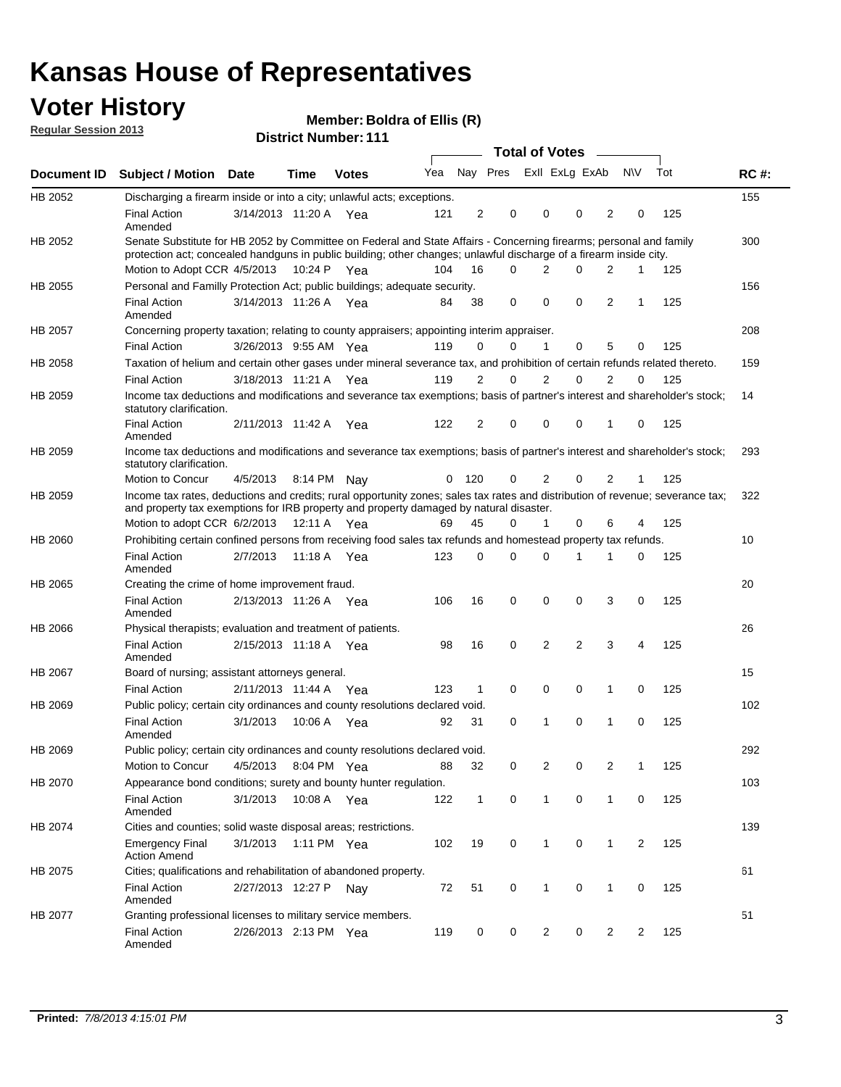## **Voter History**

**Member: Boldra of Ellis (R)** 

**Regular Session 2013**

|             |                                                                                                                                                                                                                                          |                       |         |              |     |              |             | <b>Total of Votes</b> |                |                         |                |                |     |             |
|-------------|------------------------------------------------------------------------------------------------------------------------------------------------------------------------------------------------------------------------------------------|-----------------------|---------|--------------|-----|--------------|-------------|-----------------------|----------------|-------------------------|----------------|----------------|-----|-------------|
| Document ID | <b>Subject / Motion Date</b>                                                                                                                                                                                                             |                       | Time    | <b>Votes</b> | Yea |              |             |                       |                | Nay Pres Exll ExLg ExAb |                | <b>NV</b>      | Tot | <b>RC#:</b> |
| HB 2052     | Discharging a firearm inside or into a city; unlawful acts; exceptions.                                                                                                                                                                  |                       |         |              |     |              |             |                       |                |                         |                |                |     | 155         |
|             | <b>Final Action</b><br>Amended                                                                                                                                                                                                           | 3/14/2013 11:20 A     |         | Yea          | 121 | 2            | 0           |                       | $\mathbf 0$    | 0                       | 2              | 0              | 125 |             |
| HB 2052     | Senate Substitute for HB 2052 by Committee on Federal and State Affairs - Concerning firearms; personal and family<br>protection act; concealed handguns in public building; other changes; unlawful discharge of a firearm inside city. |                       |         |              |     |              |             |                       |                |                         |                |                |     | 300         |
|             | Motion to Adopt CCR 4/5/2013 10:24 P Yea                                                                                                                                                                                                 |                       |         |              | 104 | 16           | 0           |                       | 2              | 0                       | 2              | $\mathbf{1}$   | 125 |             |
| HB 2055     | Personal and Familly Protection Act; public buildings; adequate security.                                                                                                                                                                |                       |         |              |     |              |             |                       |                |                         |                |                |     | 156         |
|             | <b>Final Action</b><br>Amended                                                                                                                                                                                                           | 3/14/2013 11:26 A Yea |         |              | 84  | 38           | 0           |                       | $\Omega$       | $\Omega$                | 2              | $\mathbf{1}$   | 125 |             |
| HB 2057     | Concerning property taxation; relating to county appraisers; appointing interim appraiser.                                                                                                                                               |                       |         |              |     |              |             |                       |                |                         |                |                |     | 208         |
|             | <b>Final Action</b>                                                                                                                                                                                                                      | 3/26/2013 9:55 AM Yea |         |              | 119 | 0            | 0           |                       | $\mathbf{1}$   | 0                       | 5              | 0              | 125 |             |
| HB 2058     | Taxation of helium and certain other gases under mineral severance tax, and prohibition of certain refunds related thereto.                                                                                                              |                       |         |              |     |              |             |                       |                |                         |                |                |     | 159         |
|             | <b>Final Action</b>                                                                                                                                                                                                                      | 3/18/2013 11:21 A Yea |         |              | 119 | 2            | 0           |                       | 2              | 0                       | $\overline{2}$ | 0              | 125 |             |
| HB 2059     | Income tax deductions and modifications and severance tax exemptions; basis of partner's interest and shareholder's stock;<br>statutory clarification.                                                                                   |                       |         |              |     |              |             |                       |                |                         |                |                |     | 14          |
|             | <b>Final Action</b><br>Amended                                                                                                                                                                                                           | 2/11/2013 11:42 A     |         | Yea          | 122 | 2            | 0           |                       | $\mathbf 0$    | 0                       | 1              | 0              | 125 |             |
| HB 2059     | Income tax deductions and modifications and severance tax exemptions; basis of partner's interest and shareholder's stock;<br>statutory clarification.                                                                                   |                       |         |              |     |              |             |                       |                |                         |                |                |     | 293         |
|             | Motion to Concur                                                                                                                                                                                                                         | 4/5/2013              |         | 8:14 PM Nav  | 0   | 120          | 0           |                       | 2              | 0                       | 2              | 1              | 125 |             |
| HB 2059     | Income tax rates, deductions and credits; rural opportunity zones; sales tax rates and distribution of revenue; severance tax;<br>and property tax exemptions for IRB property and property damaged by natural disaster.                 |                       |         |              |     |              |             |                       |                |                         |                |                |     | 322         |
|             | Motion to adopt CCR 6/2/2013                                                                                                                                                                                                             |                       |         | 12:11 A Yea  | 69  | 45           | 0           |                       | 1              | 0                       | 6              | 4              | 125 |             |
| HB 2060     | Prohibiting certain confined persons from receiving food sales tax refunds and homestead property tax refunds.                                                                                                                           |                       |         |              |     |              |             |                       |                |                         |                |                |     | 10          |
|             | <b>Final Action</b><br>Amended                                                                                                                                                                                                           | 2/7/2013              | 11:18 A | Yea          | 123 | 0            | 0           |                       | $\Omega$       | 1                       | 1              | 0              | 125 |             |
| HB 2065     | Creating the crime of home improvement fraud.                                                                                                                                                                                            |                       |         |              |     |              |             |                       |                |                         |                |                |     | 20          |
|             | <b>Final Action</b><br>Amended                                                                                                                                                                                                           | 2/13/2013 11:26 A Yea |         |              | 106 | 16           | 0           |                       | $\mathbf 0$    | 0                       | 3              | 0              | 125 |             |
| HB 2066     | Physical therapists; evaluation and treatment of patients.                                                                                                                                                                               |                       |         |              |     |              |             |                       |                |                         |                |                |     | 26          |
|             | <b>Final Action</b><br>Amended                                                                                                                                                                                                           | 2/15/2013 11:18 A Yea |         |              | 98  | 16           | 0           |                       | 2              | $\overline{2}$          | 3              | 4              | 125 |             |
| HB 2067     | Board of nursing; assistant attorneys general.                                                                                                                                                                                           |                       |         |              |     |              |             |                       |                |                         |                |                |     | 15          |
|             | <b>Final Action</b>                                                                                                                                                                                                                      | 2/11/2013 11:44 A Yea |         |              | 123 | 1            | 0           |                       | $\mathbf 0$    | 0                       | 1              | 0              | 125 |             |
| HB 2069     | Public policy; certain city ordinances and county resolutions declared void.                                                                                                                                                             |                       |         |              |     |              |             |                       |                |                         |                |                |     | 102         |
|             | <b>Final Action</b><br>Amended                                                                                                                                                                                                           | 3/1/2013              | 10:06 A | Yea          | 92  | 31           | 0           |                       | 1              | 0                       | 1              | 0              | 125 |             |
| HB 2069     | Public policy; certain city ordinances and county resolutions declared void.                                                                                                                                                             |                       |         |              |     |              |             |                       |                |                         |                |                |     | 292         |
|             | Motion to Concur                                                                                                                                                                                                                         | 4/5/2013              |         | 8:04 PM Yea  | 88  | 32           | 0           |                       | 2              | 0                       | 2              | 1              | 125 |             |
| HB 2070     | Appearance bond conditions; surety and bounty hunter regulation.                                                                                                                                                                         |                       |         |              |     |              |             |                       |                |                         |                |                |     | 103         |
|             | <b>Final Action</b><br>Amended                                                                                                                                                                                                           | 3/1/2013              |         | 10:08 A Yea  | 122 | $\mathbf{1}$ | $\mathbf 0$ |                       | $\mathbf{1}$   | 0                       | 1              | 0              | 125 |             |
| HB 2074     | Cities and counties; solid waste disposal areas; restrictions.                                                                                                                                                                           |                       |         |              |     |              |             |                       |                |                         |                |                |     | 139         |
|             | <b>Emergency Final</b><br><b>Action Amend</b>                                                                                                                                                                                            | 3/1/2013              |         | 1:11 PM Yea  | 102 | 19           | 0           |                       | $\mathbf{1}$   | 0                       | 1              | $\overline{2}$ | 125 |             |
| HB 2075     | Cities; qualifications and rehabilitation of abandoned property.                                                                                                                                                                         |                       |         |              |     |              |             |                       |                |                         |                |                |     | 61          |
|             | <b>Final Action</b><br>Amended                                                                                                                                                                                                           | 2/27/2013 12:27 P     |         | Nay          | 72  | 51           | 0           |                       | 1              | 0                       | 1              | 0              | 125 |             |
| HB 2077     | Granting professional licenses to military service members.<br><b>Final Action</b><br>Amended                                                                                                                                            | 2/26/2013 2:13 PM Yea |         |              | 119 | 0            | 0           |                       | $\overline{c}$ | 0                       | $\overline{2}$ | 2              | 125 | 51          |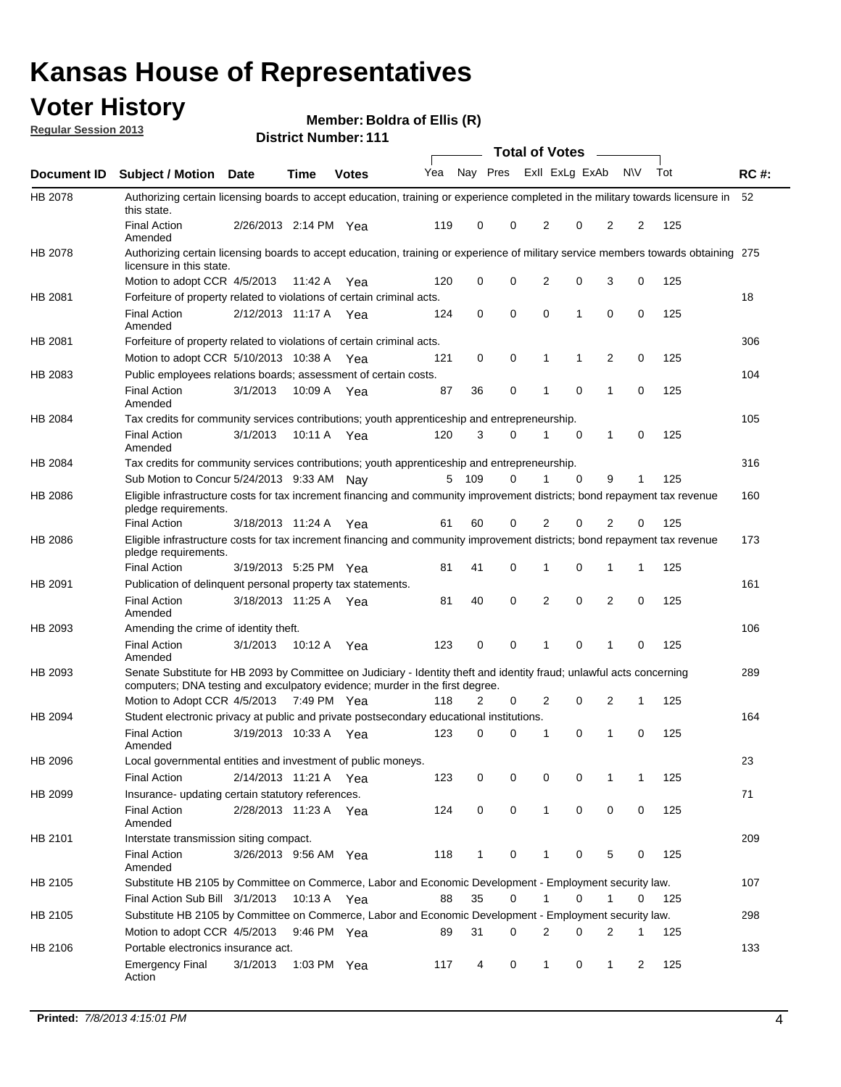## **Voter History**

**Member: Boldra of Ellis (R)** 

**Regular Session 2013**

|             |                                                                                                                                                                                                       |                       |             |              |     |                         |          | <b>Total of Votes</b> |             | $\sim$         |           |     |             |
|-------------|-------------------------------------------------------------------------------------------------------------------------------------------------------------------------------------------------------|-----------------------|-------------|--------------|-----|-------------------------|----------|-----------------------|-------------|----------------|-----------|-----|-------------|
| Document ID | Subject / Motion Date                                                                                                                                                                                 |                       | <b>Time</b> | <b>Votes</b> | Yea | Nay Pres Exll ExLg ExAb |          |                       |             |                | <b>NV</b> | Tot | <b>RC#:</b> |
| HB 2078     | Authorizing certain licensing boards to accept education, training or experience completed in the military towards licensure in<br>this state.                                                        |                       |             |              |     |                         |          |                       |             |                |           |     | 52          |
|             | <b>Final Action</b><br>Amended                                                                                                                                                                        | 2/26/2013 2:14 PM Yea |             |              | 119 | 0                       | 0        | 2                     | 0           | 2              | 2         | 125 |             |
| HB 2078     | Authorizing certain licensing boards to accept education, training or experience of military service members towards obtaining 275<br>licensure in this state.                                        |                       |             |              |     |                         |          |                       |             |                |           |     |             |
|             | Motion to adopt CCR 4/5/2013                                                                                                                                                                          |                       | 11:42 A     | Yea          | 120 | 0                       | 0        | 2                     | 0           | 3              | 0         | 125 |             |
| HB 2081     | Forfeiture of property related to violations of certain criminal acts.                                                                                                                                |                       |             |              |     |                         |          |                       |             |                |           |     | 18          |
|             | <b>Final Action</b><br>Amended                                                                                                                                                                        | 2/12/2013 11:17 A Yea |             |              | 124 | 0                       | 0        | 0                     | 1           | 0              | 0         | 125 |             |
| HB 2081     | Forfeiture of property related to violations of certain criminal acts.                                                                                                                                |                       |             |              |     |                         |          |                       |             |                |           |     | 306         |
|             | Motion to adopt CCR 5/10/2013 10:38 A                                                                                                                                                                 |                       |             | Yea          | 121 | 0                       | 0        | 1                     | 1           | $\overline{2}$ | 0         | 125 |             |
| HB 2083     | Public employees relations boards; assessment of certain costs.                                                                                                                                       |                       |             |              |     |                         |          |                       |             |                |           |     | 104         |
|             | <b>Final Action</b><br>Amended                                                                                                                                                                        | 3/1/2013              | 10:09 A     | Yea          | 87  | 36                      | 0        | 1                     | 0           | 1              | 0         | 125 |             |
| HB 2084     | Tax credits for community services contributions; youth apprenticeship and entrepreneurship.                                                                                                          |                       |             |              |     |                         |          |                       |             |                |           |     | 105         |
|             | <b>Final Action</b><br>Amended                                                                                                                                                                        | 3/1/2013              | 10:11 A     | Yea          | 120 | 3                       | $\Omega$ | 1                     | 0           | 1              | 0         | 125 |             |
| HB 2084     | Tax credits for community services contributions; youth apprenticeship and entrepreneurship.                                                                                                          |                       |             |              |     |                         |          |                       |             |                |           |     | 316         |
|             | Sub Motion to Concur 5/24/2013 9:33 AM Nay                                                                                                                                                            |                       |             |              |     | 5 109                   | 0        | 1                     | $\mathbf 0$ | 9              | 1         | 125 |             |
| HB 2086     | Eligible infrastructure costs for tax increment financing and community improvement districts; bond repayment tax revenue<br>pledge requirements.                                                     |                       |             |              |     |                         |          |                       |             |                |           |     | 160         |
|             | <b>Final Action</b>                                                                                                                                                                                   | 3/18/2013 11:24 A     |             | Yea          | 61  | 60                      | 0        | 2                     | 0           | 2              | 0         | 125 |             |
| HB 2086     | Eligible infrastructure costs for tax increment financing and community improvement districts; bond repayment tax revenue<br>pledge requirements.                                                     |                       |             |              |     |                         |          |                       |             |                |           |     | 173         |
|             | <b>Final Action</b>                                                                                                                                                                                   | 3/19/2013 5:25 PM Yea |             |              | 81  | 41                      | $\Omega$ | 1                     | 0           | 1              | 1         | 125 |             |
| HB 2091     | Publication of delinquent personal property tax statements.                                                                                                                                           |                       |             |              |     |                         |          |                       |             |                |           |     | 161         |
|             | <b>Final Action</b><br>Amended                                                                                                                                                                        | 3/18/2013 11:25 A     |             | Yea          | 81  | 40                      | $\Omega$ | 2                     | 0           | 2              | 0         | 125 |             |
| HB 2093     | Amending the crime of identity theft.                                                                                                                                                                 |                       |             |              |     |                         |          |                       |             |                |           |     | 106         |
|             | <b>Final Action</b><br>Amended                                                                                                                                                                        | 3/1/2013              | 10:12 A Yea |              | 123 | 0                       | 0        | 1                     | 0           | 1              | 0         | 125 |             |
| HB 2093     | Senate Substitute for HB 2093 by Committee on Judiciary - Identity theft and identity fraud; unlawful acts concerning<br>computers; DNA testing and exculpatory evidence; murder in the first degree. |                       |             |              |     |                         |          |                       |             |                |           |     | 289         |
|             | Motion to Adopt CCR 4/5/2013 7:49 PM Yea                                                                                                                                                              |                       |             |              | 118 | 2                       | 0        | 2                     | 0           | 2              | 1         | 125 |             |
| HB 2094     | Student electronic privacy at public and private postsecondary educational institutions.                                                                                                              |                       |             |              |     |                         |          |                       |             |                |           |     | 164         |
|             | <b>Final Action</b><br>Amended                                                                                                                                                                        | 3/19/2013 10:33 A     |             | Yea          | 123 | 0                       | 0        |                       | 0           | 1              | 0         | 125 |             |
| HB 2096     | Local governmental entities and investment of public moneys.                                                                                                                                          |                       |             |              |     |                         |          |                       |             |                |           |     | 23          |
|             | <b>Final Action</b>                                                                                                                                                                                   | 2/14/2013 11:21 A     |             | Yea          | 123 | 0                       | 0        | 0                     | 0           | 1              | 1         | 125 |             |
| HB 2099     | Insurance- updating certain statutory references.                                                                                                                                                     |                       |             |              |     |                         |          |                       |             |                |           |     | 71          |
|             | Final Action<br>Amended                                                                                                                                                                               | 2/28/2013 11:23 A Yea |             |              | 124 | 0                       | 0        | 1                     | 0           | 0              | 0         | 125 |             |
| HB 2101     | Interstate transmission siting compact.                                                                                                                                                               |                       |             |              |     |                         |          |                       |             |                |           |     | 209         |
|             | <b>Final Action</b><br>Amended                                                                                                                                                                        | 3/26/2013 9:56 AM Yea |             |              | 118 | 1                       | 0        | 1                     | 0           | 5              | 0         | 125 |             |
| HB 2105     | Substitute HB 2105 by Committee on Commerce, Labor and Economic Development - Employment security law.                                                                                                |                       |             |              |     |                         |          |                       |             |                |           |     | 107         |
|             | Final Action Sub Bill 3/1/2013                                                                                                                                                                        |                       | 10:13 A Yea |              | 88  | 35                      | 0        |                       | 0           | 1              | 0         | 125 |             |
| HB 2105     | Substitute HB 2105 by Committee on Commerce, Labor and Economic Development - Employment security law.                                                                                                |                       |             |              |     |                         |          |                       |             |                |           |     | 298         |
|             | Motion to adopt CCR 4/5/2013                                                                                                                                                                          |                       | 9:46 PM Yea |              | 89  | 31                      | 0        | 2                     | 0           | 2              | 1         | 125 |             |
| HB 2106     | Portable electronics insurance act.                                                                                                                                                                   |                       |             |              |     |                         |          |                       |             |                |           |     | 133         |
|             |                                                                                                                                                                                                       |                       |             |              |     |                         |          |                       |             |                |           |     |             |
|             | <b>Emergency Final</b><br>Action                                                                                                                                                                      | 3/1/2013              | 1:03 PM Yea |              | 117 | 4                       | 0        | $\mathbf{1}$          | 0           | $\mathbf{1}$   | 2         | 125 |             |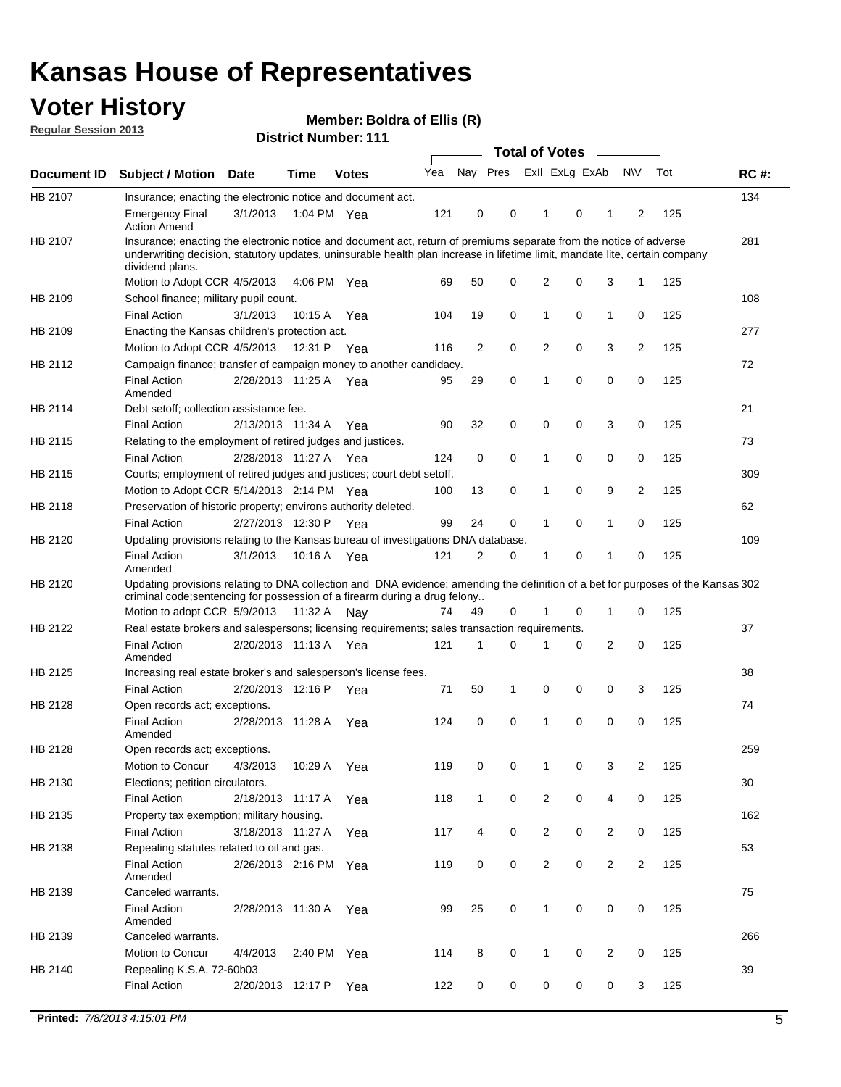## **Voter History**

**Member: Boldra of Ellis (R)** 

**Regular Session 2013**

|             |                                                                                                                                                                                                                                                                      |                       |             |              |     |                | <b>Total of Votes</b> |                |             | $\frac{1}{2}$  |                |     |             |
|-------------|----------------------------------------------------------------------------------------------------------------------------------------------------------------------------------------------------------------------------------------------------------------------|-----------------------|-------------|--------------|-----|----------------|-----------------------|----------------|-------------|----------------|----------------|-----|-------------|
| Document ID | <b>Subject / Motion Date</b>                                                                                                                                                                                                                                         |                       | Time        | <b>Votes</b> | Yea | Nay Pres       |                       | Exll ExLg ExAb |             |                | <b>NV</b>      | Tot | <b>RC#:</b> |
| HB 2107     | Insurance; enacting the electronic notice and document act.                                                                                                                                                                                                          |                       |             |              |     |                |                       |                |             |                |                |     | 134         |
|             | <b>Emergency Final</b><br><b>Action Amend</b>                                                                                                                                                                                                                        | 3/1/2013              |             | 1:04 PM Yea  | 121 | 0              | 0                     | 1              | 0           | 1              | 2              | 125 |             |
| HB 2107     | Insurance; enacting the electronic notice and document act, return of premiums separate from the notice of adverse<br>underwriting decision, statutory updates, uninsurable health plan increase in lifetime limit, mandate lite, certain company<br>dividend plans. |                       |             |              |     |                |                       |                |             |                |                |     | 281         |
|             | Motion to Adopt CCR 4/5/2013                                                                                                                                                                                                                                         |                       | 4:06 PM     | Yea          | 69  | 50             | 0                     | 2              | 0           | 3              | 1              | 125 |             |
| HB 2109     | School finance; military pupil count.                                                                                                                                                                                                                                |                       |             |              |     |                |                       |                |             |                |                |     | 108         |
|             | <b>Final Action</b>                                                                                                                                                                                                                                                  | 3/1/2013              | 10:15 A     | Yea          | 104 | 19             | 0                     | 1              | 0           | $\mathbf{1}$   | 0              | 125 |             |
| HB 2109     | Enacting the Kansas children's protection act.                                                                                                                                                                                                                       |                       |             |              |     |                |                       |                |             |                |                |     | 277         |
|             | Motion to Adopt CCR 4/5/2013                                                                                                                                                                                                                                         |                       | 12:31 P Yea |              | 116 | $\overline{2}$ | 0                     | 2              | 0           | 3              | $\overline{2}$ | 125 |             |
| HB 2112     | Campaign finance; transfer of campaign money to another candidacy.                                                                                                                                                                                                   |                       |             |              |     |                |                       |                |             |                |                |     | 72          |
|             | <b>Final Action</b><br>Amended                                                                                                                                                                                                                                       | 2/28/2013 11:25 A Yea |             |              | 95  | 29             | 0                     | 1              | 0           | 0              | 0              | 125 |             |
| HB 2114     | Debt setoff; collection assistance fee.                                                                                                                                                                                                                              |                       |             |              |     |                |                       |                |             |                |                |     | 21          |
|             | <b>Final Action</b>                                                                                                                                                                                                                                                  | 2/13/2013 11:34 A     |             | Yea          | 90  | 32             | 0                     | 0              | 0           | 3              | 0              | 125 |             |
| HB 2115     | Relating to the employment of retired judges and justices.                                                                                                                                                                                                           |                       |             |              |     |                |                       |                |             |                |                |     | 73          |
|             | <b>Final Action</b>                                                                                                                                                                                                                                                  | 2/28/2013 11:27 A     |             | Yea          | 124 | 0              | 0                     | 1              | 0           | 0              | 0              | 125 |             |
| HB 2115     | Courts; employment of retired judges and justices; court debt setoff.                                                                                                                                                                                                |                       |             |              |     |                |                       |                |             |                |                |     | 309         |
|             | Motion to Adopt CCR 5/14/2013 2:14 PM Yea                                                                                                                                                                                                                            |                       |             |              | 100 | 13             | 0                     | 1              | 0           | 9              | 2              | 125 |             |
| HB 2118     | Preservation of historic property; environs authority deleted.                                                                                                                                                                                                       |                       |             |              |     |                |                       |                |             |                |                |     | 62          |
|             | <b>Final Action</b>                                                                                                                                                                                                                                                  | 2/27/2013 12:30 P     |             | Yea          | 99  | 24             | 0                     | 1              | 0           | 1              | 0              | 125 |             |
| HB 2120     | Updating provisions relating to the Kansas bureau of investigations DNA database.                                                                                                                                                                                    |                       |             |              |     |                |                       |                |             |                |                |     | 109         |
|             | <b>Final Action</b><br>Amended                                                                                                                                                                                                                                       | 3/1/2013              | 10:16 A     | Yea          | 121 | 2              | 0                     | 1              | 0           | 1              | 0              | 125 |             |
| HB 2120     | Updating provisions relating to DNA collection and DNA evidence; amending the definition of a bet for purposes of the Kansas 302<br>criminal code; sentencing for possession of a firearm during a drug felony<br>Motion to adopt CCR 5/9/2013 11:32 A Nay           |                       |             |              | 74  | 49             | 0                     |                | 0           | 1              | 0              | 125 |             |
| HB 2122     |                                                                                                                                                                                                                                                                      |                       |             |              |     |                |                       |                |             |                |                |     | 37          |
|             | Real estate brokers and salespersons; licensing requirements; sales transaction requirements.<br><b>Final Action</b>                                                                                                                                                 | 2/20/2013 11:13 A Yea |             |              | 121 | 1              | $\Omega$              |                | 0           | $\overline{2}$ | 0              | 125 |             |
| HB 2125     | Amended                                                                                                                                                                                                                                                              |                       |             |              |     |                |                       |                |             |                |                |     | 38          |
|             | Increasing real estate broker's and salesperson's license fees.<br><b>Final Action</b>                                                                                                                                                                               | 2/20/2013 12:16 P     |             |              | 71  | 50             | 1                     | 0              | 0           | 0              | 3              | 125 |             |
| HB 2128     |                                                                                                                                                                                                                                                                      |                       |             | Yea          |     |                |                       |                |             |                |                |     | 74          |
|             | Open records act; exceptions.<br><b>Final Action</b><br>Amended                                                                                                                                                                                                      | 2/28/2013 11:28 A     |             | Yea          | 124 | 0              | 0                     | 1              | 0           | 0              | 0              | 125 |             |
| HB 2128     | Open records act; exceptions.                                                                                                                                                                                                                                        |                       |             |              |     |                |                       |                |             |                |                |     | 259         |
|             | Motion to Concur                                                                                                                                                                                                                                                     | 4/3/2013              | 10:29 A     | Yea          | 119 | 0              | 0                     | 1              | 0           | 3              | 2              | 125 |             |
| HB 2130     | Elections; petition circulators.                                                                                                                                                                                                                                     |                       |             |              |     |                |                       |                |             |                |                |     | 30          |
|             | <b>Final Action</b>                                                                                                                                                                                                                                                  | 2/18/2013 11:17 A     |             | Yea          | 118 | $\mathbf{1}$   | 0                     | $\overline{c}$ | 0           | 4              | 0              | 125 |             |
| HB 2135     | Property tax exemption; military housing.                                                                                                                                                                                                                            |                       |             |              |     |                |                       |                |             |                |                |     | 162         |
|             | <b>Final Action</b>                                                                                                                                                                                                                                                  | 3/18/2013 11:27 A     |             | Yea          | 117 | 4              | 0                     | $\overline{2}$ | 0           | $\overline{2}$ | 0              | 125 |             |
| HB 2138     | Repealing statutes related to oil and gas.                                                                                                                                                                                                                           |                       |             |              |     |                |                       |                |             |                |                |     | 53          |
|             | Final Action<br>Amended                                                                                                                                                                                                                                              | 2/26/2013 2:16 PM Yea |             |              | 119 | 0              | 0                     | $\overline{2}$ | $\mathbf 0$ | $\overline{2}$ | $\overline{2}$ | 125 |             |
| HB 2139     | Canceled warrants.                                                                                                                                                                                                                                                   |                       |             |              |     |                |                       |                |             |                |                |     | 75          |
|             | <b>Final Action</b><br>Amended                                                                                                                                                                                                                                       | 2/28/2013 11:30 A     |             | Yea          | 99  | 25             | 0                     | $\mathbf{1}$   | 0           | 0              | 0              | 125 |             |
| HB 2139     | Canceled warrants.                                                                                                                                                                                                                                                   |                       |             |              |     |                |                       |                |             |                |                |     | 266         |
|             | Motion to Concur                                                                                                                                                                                                                                                     | 4/4/2013              | 2:40 PM     | Yea          | 114 | 8              | 0                     | 1              | 0           | 2              | 0              | 125 |             |
| HB 2140     | Repealing K.S.A. 72-60b03                                                                                                                                                                                                                                            |                       |             |              |     |                |                       |                |             |                |                |     | 39          |
|             | <b>Final Action</b>                                                                                                                                                                                                                                                  | 2/20/2013 12:17 P     |             | Yea          | 122 | 0              | 0                     | 0              | 0           | 0              | 3              | 125 |             |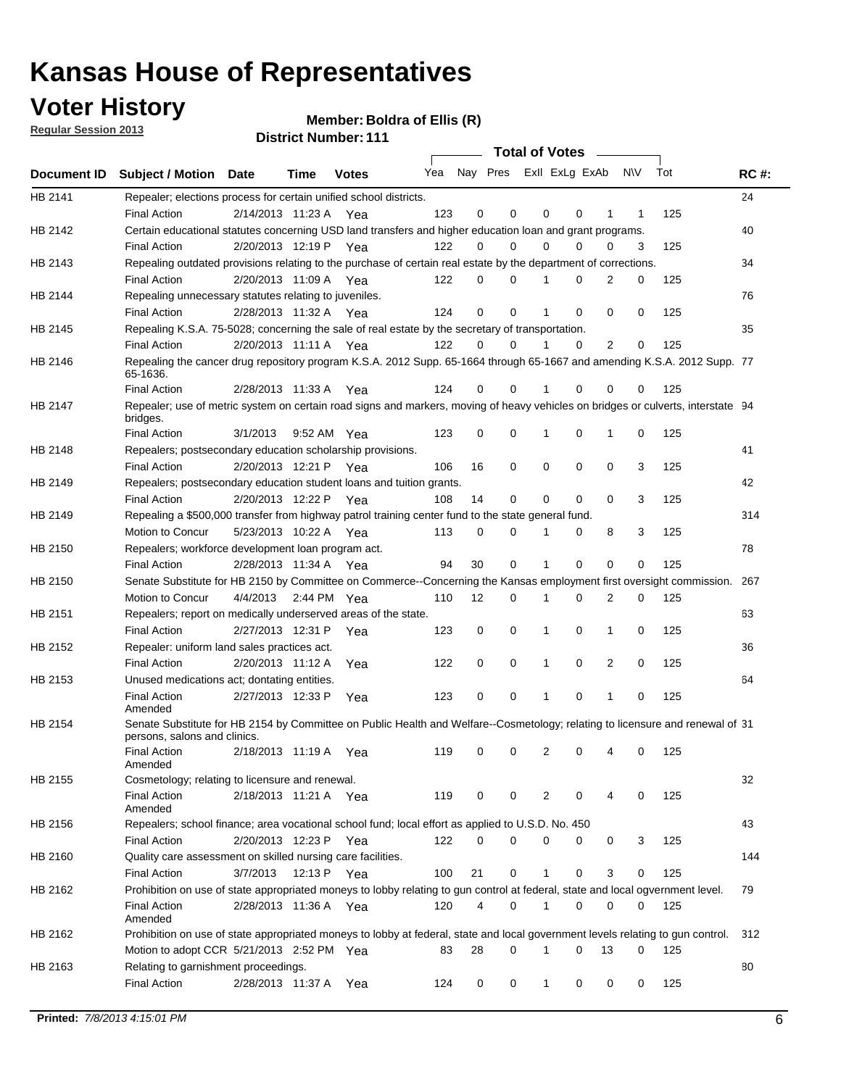**Voter History** 

**Member: Boldra of Ellis (R)** 

**Regular Session 2013**

|             |                                                                                                                                              |          |                       |              |     |    | <b>Total of Votes</b>   |              |   | $\sim$   |     |     |             |
|-------------|----------------------------------------------------------------------------------------------------------------------------------------------|----------|-----------------------|--------------|-----|----|-------------------------|--------------|---|----------|-----|-----|-------------|
| Document ID | <b>Subject / Motion Date</b>                                                                                                                 |          | Time                  | <b>Votes</b> | Yea |    | Nay Pres Exll ExLg ExAb |              |   |          | N\V | Tot | <b>RC#:</b> |
| HB 2141     | Repealer; elections process for certain unified school districts.                                                                            |          |                       |              |     |    |                         |              |   |          |     |     | 24          |
|             | <b>Final Action</b>                                                                                                                          |          | 2/14/2013 11:23 A     | Yea          | 123 | 0  | 0                       | 0            | 0 | 1        | 1   | 125 |             |
| HB 2142     | Certain educational statutes concerning USD land transfers and higher education loan and grant programs.                                     |          |                       |              |     |    |                         |              |   |          |     |     | 40          |
|             | <b>Final Action</b>                                                                                                                          |          | 2/20/2013 12:19 P     | Yea          | 122 | 0  | 0                       | 0            | 0 | 0        | 3   | 125 |             |
| HB 2143     | Repealing outdated provisions relating to the purchase of certain real estate by the department of corrections.                              |          |                       |              |     |    |                         |              |   |          |     |     | 34          |
|             | <b>Final Action</b>                                                                                                                          |          | 2/20/2013 11:09 A     | Yea          | 122 | 0  | 0                       |              | 0 | 2        | 0   | 125 |             |
| HB 2144     | Repealing unnecessary statutes relating to juveniles.                                                                                        |          |                       |              |     |    |                         |              |   |          |     |     | 76          |
|             | <b>Final Action</b>                                                                                                                          |          | 2/28/2013 11:32 A Yea |              | 124 | 0  | 0                       |              | 0 | 0        | 0   | 125 |             |
| HB 2145     | Repealing K.S.A. 75-5028; concerning the sale of real estate by the secretary of transportation.                                             |          |                       |              |     |    |                         |              |   |          |     |     | 35          |
|             | <b>Final Action</b>                                                                                                                          |          | 2/20/2013 11:11 A Yea |              | 122 | 0  | 0                       |              | 0 | 2        | 0   | 125 |             |
| HB 2146     | Repealing the cancer drug repository program K.S.A. 2012 Supp. 65-1664 through 65-1667 and amending K.S.A. 2012 Supp. 77<br>65-1636.         |          |                       |              |     |    |                         |              |   |          |     |     |             |
|             | <b>Final Action</b>                                                                                                                          |          | 2/28/2013 11:33 A     | Yea          | 124 | 0  | 0                       |              | 0 | 0        | 0   | 125 |             |
| HB 2147     | Repealer; use of metric system on certain road signs and markers, moving of heavy vehicles on bridges or culverts, interstate 94<br>bridges. |          |                       |              |     |    |                         |              |   |          |     |     |             |
|             | <b>Final Action</b>                                                                                                                          | 3/1/2013 |                       | 9:52 AM Yea  | 123 | 0  | 0                       | 1            | 0 | 1        | 0   | 125 |             |
| HB 2148     | Repealers; postsecondary education scholarship provisions.                                                                                   |          |                       |              |     |    |                         |              |   |          |     |     | 41          |
|             | <b>Final Action</b>                                                                                                                          |          | 2/20/2013 12:21 P Yea |              | 106 | 16 | 0                       | 0            | 0 | 0        | 3   | 125 |             |
| HB 2149     | Repealers; postsecondary education student loans and tuition grants.                                                                         |          |                       |              |     |    |                         |              |   |          |     |     | 42          |
|             | <b>Final Action</b>                                                                                                                          |          | 2/20/2013 12:22 P     | Yea          | 108 | 14 | 0                       | 0            | 0 | $\Omega$ | 3   | 125 |             |
| HB 2149     | Repealing a \$500,000 transfer from highway patrol training center fund to the state general fund.                                           |          |                       |              |     |    |                         |              |   |          |     |     | 314         |
|             | Motion to Concur                                                                                                                             |          | 5/23/2013 10:22 A Yea |              | 113 | 0  | 0                       |              | 0 | 8        | 3   | 125 |             |
| HB 2150     | Repealers; workforce development loan program act.                                                                                           |          |                       |              |     |    |                         |              |   |          |     |     | 78          |
|             | <b>Final Action</b>                                                                                                                          |          | 2/28/2013 11:34 A Yea |              | 94  | 30 | 0                       | 1            | 0 | 0        | 0   | 125 |             |
| HB 2150     | Senate Substitute for HB 2150 by Committee on Commerce--Concerning the Kansas employment first oversight commission.                         |          |                       |              |     |    |                         |              |   |          |     |     | 267         |
|             | Motion to Concur                                                                                                                             | 4/4/2013 |                       | 2:44 PM Yea  | 110 | 12 | 0                       | 1            | 0 | 2        | 0   | 125 |             |
| HB 2151     | Repealers; report on medically underserved areas of the state.                                                                               |          |                       |              |     |    |                         |              |   |          |     |     | 63          |
|             | <b>Final Action</b>                                                                                                                          |          | 2/27/2013 12:31 P     | Yea          | 123 | 0  | 0                       | 1            | 0 | 1        | 0   | 125 |             |
| HB 2152     | Repealer: uniform land sales practices act.                                                                                                  |          |                       |              |     |    |                         |              |   |          |     |     | 36          |
|             | <b>Final Action</b>                                                                                                                          |          | 2/20/2013 11:12 A     | Yea          | 122 | 0  | 0                       | 1            | 0 | 2        | 0   | 125 |             |
| HB 2153     | Unused medications act; dontating entities.                                                                                                  |          |                       |              |     |    |                         |              |   |          |     |     | 64          |
|             | <b>Final Action</b><br>Amended                                                                                                               |          | 2/27/2013 12:33 P     | Yea          | 123 | 0  | 0                       | 1            | 0 | 1        | 0   | 125 |             |
| HB 2154     | Senate Substitute for HB 2154 by Committee on Public Health and Welfare--Cosmetology; relating to licensure and renewal of 31                |          |                       |              |     |    |                         |              |   |          |     |     |             |
|             | persons, salons and clinics.                                                                                                                 |          |                       |              |     |    |                         |              |   |          |     |     |             |
|             | <b>Final Action</b><br>Amended                                                                                                               |          | 2/18/2013 11:19 A     | Yea          | 119 | 0  | 0                       | 2            | 0 | 4        | 0   | 125 |             |
| HB 2155     | Cosmetology; relating to licensure and renewal.                                                                                              |          |                       |              |     |    |                         |              |   |          |     |     | 32          |
|             | <b>Final Action</b><br>Amended                                                                                                               |          | 2/18/2013 11:21 A Yea |              | 119 | 0  | 0                       | 2            | 0 | 4        | 0   | 125 |             |
| HB 2156     | Repealers; school finance; area vocational school fund; local effort as applied to U.S.D. No. 450                                            |          |                       |              |     |    |                         |              |   |          |     |     | 43          |
|             | <b>Final Action</b>                                                                                                                          |          | 2/20/2013 12:23 P Yea |              | 122 | 0  | $\Omega$                | 0            | 0 | 0        | 3   | 125 |             |
| HB 2160     | Quality care assessment on skilled nursing care facilities.                                                                                  |          |                       |              |     |    |                         |              |   |          |     |     | 144         |
|             | <b>Final Action</b>                                                                                                                          | 3/7/2013 |                       | 12:13 P Yea  | 100 | 21 | 0                       | 1            | 0 | 3        | 0   | 125 |             |
| HB 2162     | Prohibition on use of state appropriated moneys to lobby relating to gun control at federal, state and local ogvernment level.               |          |                       |              |     |    |                         |              |   |          |     |     | 79          |
|             | <b>Final Action</b>                                                                                                                          |          | 2/28/2013 11:36 A Yea |              | 120 | 4  | 0                       | 1            | 0 | 0        | 0   | 125 |             |
|             | Amended                                                                                                                                      |          |                       |              |     |    |                         |              |   |          |     |     |             |
| HB 2162     | Prohibition on use of state appropriated moneys to lobby at federal, state and local government levels relating to gun control.              |          |                       |              |     |    |                         |              | 0 |          |     |     | 312         |
|             | Motion to adopt CCR 5/21/2013 2:52 PM Yea                                                                                                    |          |                       |              | 83  | 28 | 0                       | 1            |   | 13       | 0   | 125 |             |
| HB 2163     | Relating to garnishment proceedings.                                                                                                         |          |                       |              |     |    |                         |              |   |          |     |     | 80          |
|             | <b>Final Action</b>                                                                                                                          |          | 2/28/2013 11:37 A Yea |              | 124 | 0  | 0                       | $\mathbf{1}$ | 0 | 0        | 0   | 125 |             |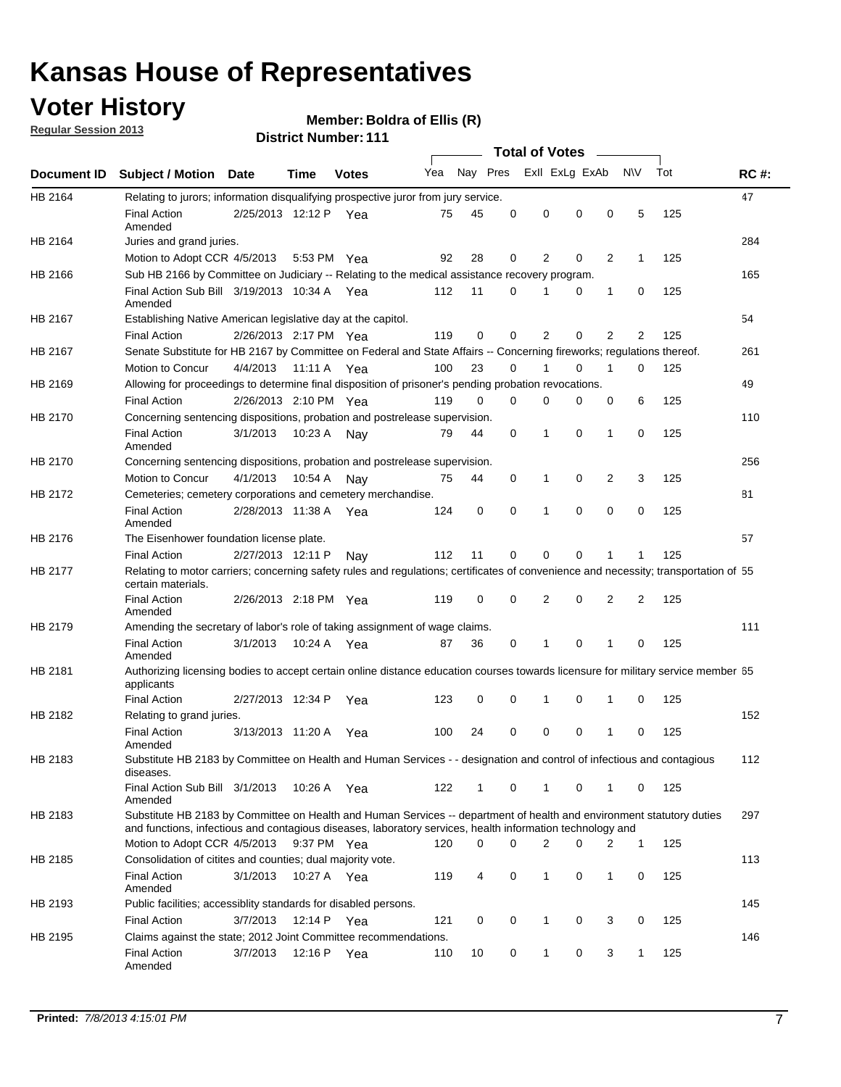## **Voter History**

**Member: Boldra of Ellis (R)** 

**Regular Session 2013**

|             |                                                                                                                                                                                                                                    |                       |             | ו ו . וסעווווטרו ועו ווסוש |     |          |          | <b>Total of Votes</b> |          | $\sim$         |                |     |             |
|-------------|------------------------------------------------------------------------------------------------------------------------------------------------------------------------------------------------------------------------------------|-----------------------|-------------|----------------------------|-----|----------|----------|-----------------------|----------|----------------|----------------|-----|-------------|
| Document ID | <b>Subject / Motion Date</b>                                                                                                                                                                                                       |                       | Time        | <b>Votes</b>               | Yea | Nay Pres |          | Exll ExLg ExAb        |          |                | <b>NV</b>      | Tot | <b>RC#:</b> |
| HB 2164     | Relating to jurors; information disqualifying prospective juror from jury service.                                                                                                                                                 |                       |             |                            |     |          |          |                       |          |                |                |     | 47          |
|             | <b>Final Action</b><br>Amended                                                                                                                                                                                                     | 2/25/2013 12:12 P Yea |             |                            | 75  | 45       | 0        | 0                     | 0        | 0              | 5              | 125 |             |
| HB 2164     | Juries and grand juries.                                                                                                                                                                                                           |                       |             |                            |     |          |          |                       |          |                |                |     | 284         |
|             | Motion to Adopt CCR 4/5/2013                                                                                                                                                                                                       |                       | 5:53 PM Yea |                            | 92  | 28       | 0        | 2                     | 0        | $\overline{2}$ | 1              | 125 |             |
| HB 2166     | Sub HB 2166 by Committee on Judiciary -- Relating to the medical assistance recovery program.                                                                                                                                      |                       |             |                            |     |          |          |                       |          |                |                |     | 165         |
|             | Final Action Sub Bill 3/19/2013 10:34 A Yea<br>Amended                                                                                                                                                                             |                       |             |                            | 112 | 11       | $\Omega$ |                       | 0        | 1              | 0              | 125 |             |
| HB 2167     | Establishing Native American legislative day at the capitol.                                                                                                                                                                       |                       |             |                            |     |          |          |                       |          |                |                |     | 54          |
|             | <b>Final Action</b>                                                                                                                                                                                                                | 2/26/2013 2:17 PM Yea |             |                            | 119 | 0        | $\Omega$ | 2                     | 0        | $\overline{2}$ | 2              | 125 |             |
| HB 2167     | Senate Substitute for HB 2167 by Committee on Federal and State Affairs -- Concerning fireworks; regulations thereof.                                                                                                              |                       |             |                            |     |          |          |                       |          |                |                |     | 261         |
|             | Motion to Concur                                                                                                                                                                                                                   | 4/4/2013              | 11:11 A Yea |                            | 100 | 23       | 0        | 1                     | 0        | 1              | 0              | 125 |             |
| HB 2169     | Allowing for proceedings to determine final disposition of prisoner's pending probation revocations.                                                                                                                               |                       |             |                            |     |          |          |                       |          |                |                |     | 49          |
|             | <b>Final Action</b>                                                                                                                                                                                                                | 2/26/2013 2:10 PM Yea |             |                            | 119 | 0        | 0        | 0                     | 0        | 0              | 6              | 125 |             |
| HB 2170     | Concerning sentencing dispositions, probation and postrelease supervision.                                                                                                                                                         |                       |             |                            |     |          |          |                       |          |                |                |     | 110         |
|             | <b>Final Action</b><br>Amended                                                                                                                                                                                                     | 3/1/2013              | 10:23 A     | Nay                        | 79  | 44       | 0        | 1                     | 0        | 1              | 0              | 125 |             |
| HB 2170     | Concerning sentencing dispositions, probation and postrelease supervision.                                                                                                                                                         |                       |             |                            |     |          |          |                       |          |                |                |     | 256         |
|             | Motion to Concur                                                                                                                                                                                                                   | 4/1/2013              | 10:54 A     | Nay                        | 75  | 44       | 0        | 1                     | 0        | $\overline{2}$ | 3              | 125 |             |
| HB 2172     | Cemeteries; cemetery corporations and cemetery merchandise.                                                                                                                                                                        |                       |             |                            |     |          |          |                       |          |                |                |     | 81          |
|             | <b>Final Action</b><br>Amended                                                                                                                                                                                                     | 2/28/2013 11:38 A Yea |             |                            | 124 | 0        | 0        | 1                     | 0        | $\Omega$       | 0              | 125 |             |
| HB 2176     | The Eisenhower foundation license plate.                                                                                                                                                                                           |                       |             |                            |     |          |          |                       |          |                |                |     | 57          |
|             | <b>Final Action</b>                                                                                                                                                                                                                | 2/27/2013 12:11 P     |             | Nay                        | 112 | 11       | 0        | 0                     | 0        | 1              | 1              | 125 |             |
| HB 2177     | Relating to motor carriers; concerning safety rules and regulations; certificates of convenience and necessity; transportation of 55<br>certain materials.                                                                         |                       |             |                            |     |          |          |                       |          |                |                |     |             |
|             | <b>Final Action</b><br>Amended                                                                                                                                                                                                     | 2/26/2013 2:18 PM Yea |             |                            | 119 | 0        | $\Omega$ | 2                     | 0        | $\overline{2}$ | $\overline{2}$ | 125 |             |
| HB 2179     | Amending the secretary of labor's role of taking assignment of wage claims.                                                                                                                                                        |                       |             |                            |     |          |          |                       |          |                |                |     | 111         |
|             | <b>Final Action</b><br>Amended                                                                                                                                                                                                     | 3/1/2013              | 10:24 A Yea |                            | 87  | 36       | 0        | 1                     | $\Omega$ | 1              | 0              | 125 |             |
| HB 2181     | Authorizing licensing bodies to accept certain online distance education courses towards licensure for military service member 55<br>applicants                                                                                    |                       |             |                            |     |          |          |                       |          |                |                |     |             |
|             | <b>Final Action</b>                                                                                                                                                                                                                | 2/27/2013 12:34 P     |             | Yea                        | 123 | 0        | 0        |                       | 0        | 1              | 0              | 125 |             |
| HB 2182     | Relating to grand juries.                                                                                                                                                                                                          |                       |             |                            |     |          |          |                       |          |                |                |     | 152         |
|             | <b>Final Action</b><br>Amended                                                                                                                                                                                                     | 3/13/2013 11:20 A     |             | Yea                        | 100 | 24       | 0        | 0                     | 0        | 1              | 0              | 125 |             |
| HB 2183     | Substitute HB 2183 by Committee on Health and Human Services - - designation and control of infectious and contagious<br>diseases.                                                                                                 |                       |             |                            |     |          |          |                       |          |                |                |     | 112         |
|             | Final Action Sub Bill 3/1/2013<br>Amended                                                                                                                                                                                          |                       | 10:26 A Yea |                            | 122 | 1        | 0        | 1                     | 0        | 1              | 0              | 125 |             |
| HB 2183     | Substitute HB 2183 by Committee on Health and Human Services -- department of health and environment statutory duties<br>and functions, infectious and contagious diseases, laboratory services, health information technology and |                       |             |                            |     |          |          |                       |          |                |                |     | 297         |
|             | Motion to Adopt CCR 4/5/2013                                                                                                                                                                                                       |                       | 9:37 PM Yea |                            | 120 | 0        | 0        | 2                     | 0        | 2              | 1              | 125 |             |
| HB 2185     | Consolidation of citites and counties; dual majority vote.                                                                                                                                                                         |                       |             |                            |     |          |          |                       |          |                |                |     | 113         |
|             | <b>Final Action</b><br>Amended                                                                                                                                                                                                     | 3/1/2013              | 10:27 A Yea |                            | 119 | 4        | 0        | 1                     | 0        | $\mathbf{1}$   | 0              | 125 |             |
| HB 2193     | Public facilities; accessiblity standards for disabled persons.                                                                                                                                                                    |                       |             |                            |     |          |          |                       |          |                |                |     | 145         |
|             | <b>Final Action</b>                                                                                                                                                                                                                | 3/7/2013              | 12:14 P     | Yea                        | 121 | 0        | 0        | 1                     | 0        | 3              | 0              | 125 |             |
| HB 2195     | Claims against the state; 2012 Joint Committee recommendations.                                                                                                                                                                    |                       |             |                            |     |          |          |                       |          |                |                |     | 146         |
|             | <b>Final Action</b><br>Amended                                                                                                                                                                                                     | 3/7/2013              | 12:16 P Yea |                            | 110 | 10       | 0        | 1                     | 0        | 3              | 1              | 125 |             |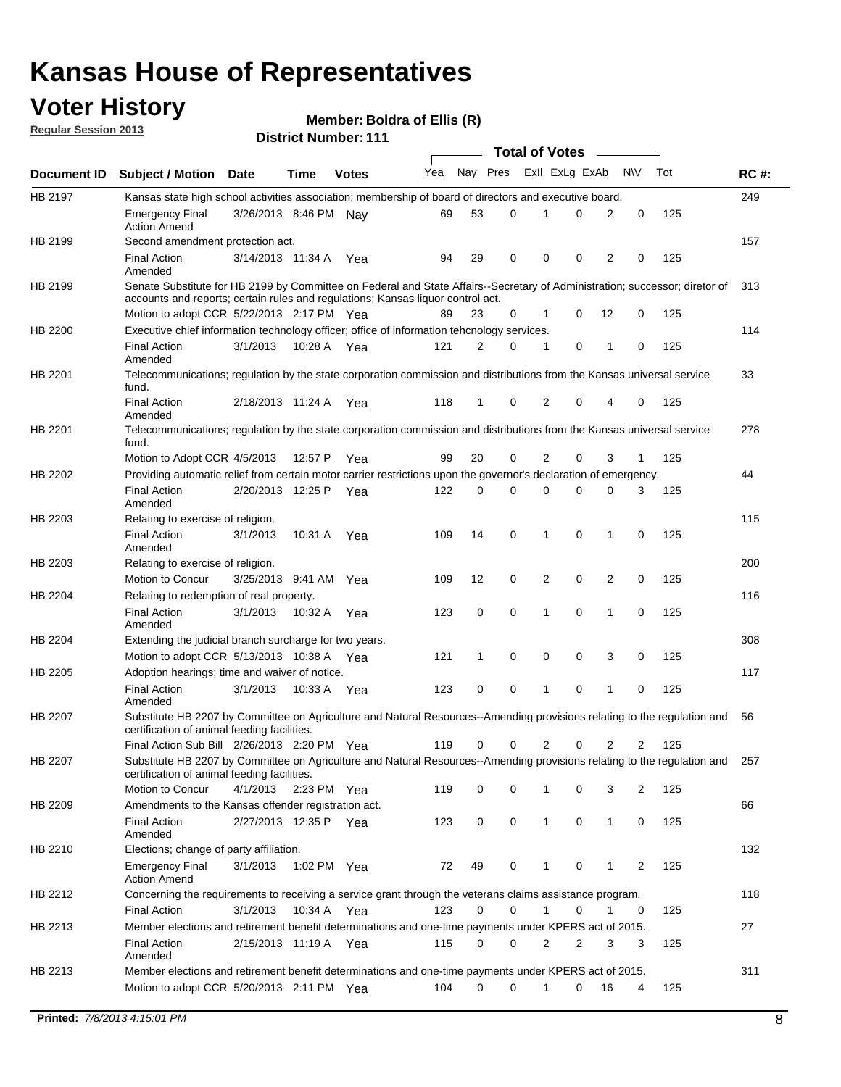## **Voter History**

**Member: Boldra of Ellis (R)** 

**Regular Session 2013**

|             |                                                                                                                                                                                                                |                       |             |              |     |              |          | <b>Total of Votes</b> |   |                |             |     |             |
|-------------|----------------------------------------------------------------------------------------------------------------------------------------------------------------------------------------------------------------|-----------------------|-------------|--------------|-----|--------------|----------|-----------------------|---|----------------|-------------|-----|-------------|
| Document ID | <b>Subject / Motion Date</b>                                                                                                                                                                                   |                       | Time        | <b>Votes</b> | Yea | Nay Pres     |          | Exll ExLg ExAb        |   |                | <b>NV</b>   | Tot | <b>RC#:</b> |
| HB 2197     | Kansas state high school activities association; membership of board of directors and executive board.                                                                                                         |                       |             |              |     |              |          |                       |   |                |             |     | 249         |
|             | <b>Emergency Final</b><br><b>Action Amend</b>                                                                                                                                                                  | 3/26/2013 8:46 PM Nav |             |              | 69  | 53           | 0        |                       | 0 | 2              | 0           | 125 |             |
| HB 2199     | Second amendment protection act.                                                                                                                                                                               |                       |             |              |     |              |          |                       |   |                |             |     | 157         |
|             | <b>Final Action</b><br>Amended                                                                                                                                                                                 | 3/14/2013 11:34 A     |             | Yea          | 94  | 29           | 0        | 0                     | 0 | 2              | 0           | 125 |             |
| HB 2199     | Senate Substitute for HB 2199 by Committee on Federal and State Affairs--Secretary of Administration; successor; diretor of<br>accounts and reports; certain rules and regulations; Kansas liguor control act. |                       |             |              |     |              |          |                       |   |                |             |     | 313         |
|             | Motion to adopt CCR 5/22/2013 2:17 PM Yea                                                                                                                                                                      |                       |             |              | 89  | 23           | 0        | 1                     | 0 | 12             | 0           | 125 |             |
| HB 2200     | Executive chief information technology officer; office of information tehcnology services.                                                                                                                     |                       |             |              |     |              |          |                       |   |                |             |     | 114         |
|             | <b>Final Action</b><br>Amended                                                                                                                                                                                 | 3/1/2013              | 10:28 A     | Yea          | 121 | 2            | 0        | 1                     | 0 | 1              | 0           | 125 |             |
| HB 2201     | Telecommunications; regulation by the state corporation commission and distributions from the Kansas universal service<br>fund.                                                                                |                       |             |              |     |              |          |                       |   |                |             |     | 33          |
|             | <b>Final Action</b><br>Amended                                                                                                                                                                                 | 2/18/2013 11:24 A     |             | Yea          | 118 | $\mathbf{1}$ | 0        | 2                     | 0 | 4              | 0           | 125 |             |
| HB 2201     | Telecommunications; regulation by the state corporation commission and distributions from the Kansas universal service<br>fund.                                                                                |                       |             |              |     |              |          |                       |   |                |             |     | 278         |
|             | Motion to Adopt CCR 4/5/2013                                                                                                                                                                                   |                       | 12:57 P     | Yea          | 99  | 20           | 0        | 2                     | 0 | 3              | 1           | 125 |             |
| HB 2202     | Providing automatic relief from certain motor carrier restrictions upon the governor's declaration of emergency.                                                                                               |                       |             |              |     |              |          |                       |   |                |             |     | 44          |
|             | <b>Final Action</b><br>Amended                                                                                                                                                                                 | 2/20/2013 12:25 P     |             | Yea          | 122 | 0            | 0        | 0                     | 0 | 0              | 3           | 125 |             |
| HB 2203     | Relating to exercise of religion.                                                                                                                                                                              |                       |             |              |     |              |          |                       |   |                |             |     | 115         |
|             | <b>Final Action</b><br>Amended                                                                                                                                                                                 | 3/1/2013              |             | 10:31 A Yea  | 109 | 14           | 0        | 1                     | 0 | 1              | 0           | 125 |             |
| HB 2203     | Relating to exercise of religion.                                                                                                                                                                              |                       |             |              |     |              |          |                       |   |                |             |     | 200         |
|             | Motion to Concur                                                                                                                                                                                               | 3/25/2013 9:41 AM Yea |             |              | 109 | 12           | 0        | 2                     | 0 | $\overline{2}$ | 0           | 125 |             |
| HB 2204     | Relating to redemption of real property.                                                                                                                                                                       |                       |             |              |     |              |          |                       |   |                |             |     | 116         |
|             | <b>Final Action</b><br>Amended                                                                                                                                                                                 | 3/1/2013              | 10:32 A     | Yea          | 123 | 0            | 0        | 1                     | 0 | $\mathbf{1}$   | $\mathbf 0$ | 125 |             |
| HB 2204     | Extending the judicial branch surcharge for two years.                                                                                                                                                         |                       |             |              |     |              |          |                       |   |                |             |     | 308         |
|             | Motion to adopt CCR 5/13/2013 10:38 A Yea                                                                                                                                                                      |                       |             |              | 121 | 1            | 0        | 0                     | 0 | 3              | 0           | 125 |             |
| HB 2205     | Adoption hearings; time and waiver of notice.                                                                                                                                                                  |                       |             |              |     |              |          |                       |   |                |             |     | 117         |
|             | <b>Final Action</b><br>Amended                                                                                                                                                                                 | 3/1/2013              | 10:33 A Yea |              | 123 | 0            | 0        | 1                     | 0 | 1              | 0           | 125 |             |
| HB 2207     | Substitute HB 2207 by Committee on Agriculture and Natural Resources--Amending provisions relating to the regulation and<br>certification of animal feeding facilities.                                        |                       |             |              |     |              |          |                       |   |                |             |     | 56          |
|             | Final Action Sub Bill 2/26/2013 2:20 PM Yea                                                                                                                                                                    |                       |             |              | 119 | 0            | 0        | 2                     | 0 | 2              | 2           | 125 |             |
| HB 2207     | Substitute HB 2207 by Committee on Agriculture and Natural Resources--Amending provisions relating to the regulation and 257<br>certification of animal feeding facilities.                                    |                       |             |              |     |              |          |                       |   |                |             |     |             |
|             | Motion to Concur                                                                                                                                                                                               | 4/1/2013              | 2:23 PM Yea |              | 119 | 0            | 0        | 1                     | 0 | 3              | 2           | 125 |             |
| HB 2209     | Amendments to the Kansas offender registration act.                                                                                                                                                            |                       |             |              |     |              |          |                       |   |                |             |     | 66          |
|             | <b>Final Action</b><br>Amended                                                                                                                                                                                 | 2/27/2013 12:35 P Yea |             |              | 123 | 0            | 0        | $\mathbf{1}$          | 0 | $\mathbf{1}$   | 0           | 125 |             |
| HB 2210     | Elections; change of party affiliation.                                                                                                                                                                        |                       |             |              |     |              |          |                       |   |                |             |     | 132         |
|             | <b>Emergency Final</b><br><b>Action Amend</b>                                                                                                                                                                  | 3/1/2013              | 1:02 PM Yea |              | 72  | 49           | 0        | 1                     | 0 | 1              | 2           | 125 |             |
| HB 2212     | Concerning the requirements to receiving a service grant through the veterans claims assistance program.                                                                                                       |                       |             |              |     |              |          |                       |   |                |             |     | 118         |
|             | <b>Final Action</b>                                                                                                                                                                                            | 3/1/2013              |             | 10:34 A Yea  | 123 | 0            | 0        | $\mathbf{1}$          | 0 | 1              | 0           | 125 |             |
| HB 2213     | Member elections and retirement benefit determinations and one-time payments under KPERS act of 2015.                                                                                                          |                       |             |              |     |              |          |                       |   |                |             |     | 27          |
|             | <b>Final Action</b><br>Amended                                                                                                                                                                                 | 2/15/2013 11:19 A Yea |             |              | 115 | 0            | 0        | 2                     | 2 | 3              | 3           | 125 |             |
| HB 2213     | Member elections and retirement benefit determinations and one-time payments under KPERS act of 2015.                                                                                                          |                       |             |              |     |              |          |                       |   |                |             |     | 311         |
|             | Motion to adopt CCR 5/20/2013 2:11 PM Yea                                                                                                                                                                      |                       |             |              | 104 | $\Omega$     | $\Omega$ | $\mathbf 1$           | 0 | 16             | 4           | 125 |             |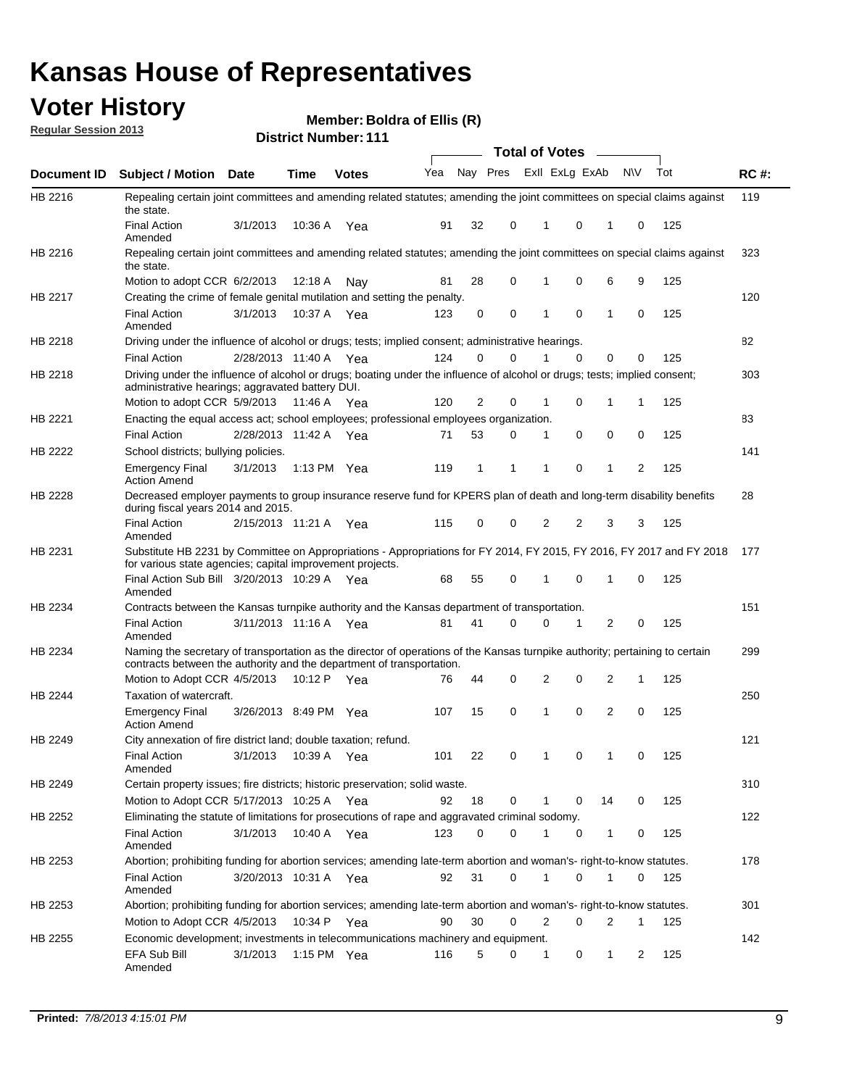## **Voter History**

**Member: Boldra of Ellis (R)** 

**Regular Session 2013**

|             |                                                                                                                                                                                                       |                       |         |               |     |              |             |              | <b>Total of Votes</b>       |             |              |     |             |
|-------------|-------------------------------------------------------------------------------------------------------------------------------------------------------------------------------------------------------|-----------------------|---------|---------------|-----|--------------|-------------|--------------|-----------------------------|-------------|--------------|-----|-------------|
| Document ID | <b>Subject / Motion Date</b>                                                                                                                                                                          |                       | Time    | <b>Votes</b>  |     |              |             |              | Yea Nay Pres ExII ExLg ExAb |             | <b>NV</b>    | Tot | <b>RC#:</b> |
| HB 2216     | Repealing certain joint committees and amending related statutes; amending the joint committees on special claims against<br>the state.                                                               |                       |         |               |     |              |             |              |                             |             |              |     | 119         |
|             | <b>Final Action</b><br>Amended                                                                                                                                                                        | 3/1/2013              | 10:36 A | Yea           | 91  | 32           | 0           | 1            | 0                           | 1           | 0            | 125 |             |
| HB 2216     | Repealing certain joint committees and amending related statutes; amending the joint committees on special claims against<br>the state.                                                               |                       |         |               |     |              |             |              |                             |             |              |     | 323         |
|             | Motion to adopt CCR 6/2/2013                                                                                                                                                                          |                       | 12:18 A | Nav           | 81  | 28           | 0           | 1            | 0                           | 6           | 9            | 125 |             |
| HB 2217     | Creating the crime of female genital mutilation and setting the penalty.                                                                                                                              |                       |         |               |     |              |             |              |                             |             |              |     | 120         |
|             | <b>Final Action</b><br>Amended                                                                                                                                                                        | 3/1/2013              | 10:37 A | Yea           | 123 | 0            | $\mathbf 0$ | 1            | 0                           | 1           | 0            | 125 |             |
| HB 2218     | Driving under the influence of alcohol or drugs; tests; implied consent; administrative hearings.                                                                                                     |                       |         |               |     |              |             |              |                             |             |              |     | <b>B2</b>   |
|             | <b>Final Action</b>                                                                                                                                                                                   | 2/28/2013 11:40 A Yea |         |               | 124 | 0            | $\Omega$    |              | 0                           | 0           | 0            | 125 |             |
| HB 2218     | Driving under the influence of alcohol or drugs; boating under the influence of alcohol or drugs; tests; implied consent;<br>administrative hearings; aggravated battery DUI.                         |                       |         |               |     |              |             |              |                             |             |              |     | 303         |
|             | Motion to adopt CCR 5/9/2013                                                                                                                                                                          |                       | 11:46 A | Yea           | 120 | 2            | 0           | 1            | 0                           | 1           | 1            | 125 |             |
| HB 2221     | Enacting the equal access act; school employees; professional employees organization.                                                                                                                 |                       |         |               |     |              |             |              |                             |             |              |     | 83          |
|             | <b>Final Action</b>                                                                                                                                                                                   | 2/28/2013 11:42 A     |         | Yea           | 71  | 53           | 0           | $\mathbf{1}$ | 0                           | 0           | 0            | 125 |             |
| HB 2222     | School districts; bullying policies.                                                                                                                                                                  |                       |         |               |     |              |             |              |                             |             |              |     | 141         |
|             | <b>Emergency Final</b><br><b>Action Amend</b>                                                                                                                                                         | 3/1/2013              |         | 1:13 PM $Yea$ | 119 | $\mathbf{1}$ | 1           | 1            | 0                           | 1           | 2            | 125 |             |
| HB 2228     | Decreased employer payments to group insurance reserve fund for KPERS plan of death and long-term disability benefits<br>during fiscal years 2014 and 2015.                                           |                       |         |               |     |              |             |              |                             |             |              |     | 28          |
|             | <b>Final Action</b><br>Amended                                                                                                                                                                        | 2/15/2013 11:21 A Yea |         |               | 115 | 0            | 0           | 2            | 2                           | 3           | 3            | 125 |             |
| HB 2231     | Substitute HB 2231 by Committee on Appropriations - Appropriations for FY 2014, FY 2015, FY 2016, FY 2017 and FY 2018<br>for various state agencies; capital improvement projects.                    |                       |         |               |     |              |             |              |                             |             |              |     | 177         |
|             | Final Action Sub Bill 3/20/2013 10:29 A Yea<br>Amended                                                                                                                                                |                       |         |               | 68  | 55           | 0           | 1            | 0                           | 1           | 0            | 125 |             |
| HB 2234     | Contracts between the Kansas turnpike authority and the Kansas department of transportation.                                                                                                          |                       |         |               |     |              |             |              |                             |             |              |     | 151         |
|             | <b>Final Action</b><br>Amended                                                                                                                                                                        | 3/11/2013 11:16 A Yea |         |               | 81  | 41           | $\Omega$    | 0            | 1                           | 2           | 0            | 125 |             |
| HB 2234     | Naming the secretary of transportation as the director of operations of the Kansas turnpike authority; pertaining to certain<br>contracts between the authority and the department of transportation. |                       |         |               |     |              |             |              |                             |             |              |     | 299         |
|             | Motion to Adopt CCR 4/5/2013                                                                                                                                                                          |                       |         | 10:12 P Yea   | 76  | 44           | 0           | 2            | 0                           | 2           | $\mathbf{1}$ | 125 |             |
| HB 2244     | Taxation of watercraft.<br><b>Emergency Final</b>                                                                                                                                                     | 3/26/2013 8:49 PM Yea |         |               | 107 | 15           | 0           | 1            | 0                           | 2           | 0            | 125 | 250         |
|             | <b>Action Amend</b>                                                                                                                                                                                   |                       |         |               |     |              |             |              |                             |             |              |     |             |
| HB 2249     | City annexation of fire district land; double taxation; refund.                                                                                                                                       |                       |         |               |     |              |             |              |                             |             |              |     | 121         |
|             | Final Action<br>Amended                                                                                                                                                                               | 3/1/2013 10:39 A Yea  |         |               | 101 | 22           |             | 0            | $\sim$ 1                    | $0 \quad 1$ | 0            | 125 |             |
| HB 2249     | Certain property issues; fire districts; historic preservation; solid waste.                                                                                                                          |                       |         |               |     |              |             |              |                             |             |              |     | 310         |
|             | Motion to Adopt CCR 5/17/2013 10:25 A Yea                                                                                                                                                             |                       |         |               | 92  | 18           | 0           | 1            | 0                           | 14          | 0            | 125 |             |
| HB 2252     | Eliminating the statute of limitations for prosecutions of rape and aggravated criminal sodomy.                                                                                                       |                       |         |               |     |              |             |              |                             |             |              |     | 122         |
|             | <b>Final Action</b><br>Amended                                                                                                                                                                        | 3/1/2013              |         | 10:40 A Yea   | 123 | 0            | $\Omega$    | 1            | 0                           | 1           | 0            | 125 |             |
| HB 2253     | Abortion; prohibiting funding for abortion services; amending late-term abortion and woman's- right-to-know statutes.                                                                                 |                       |         |               |     |              |             |              |                             |             |              |     | 178         |
|             | <b>Final Action</b><br>Amended                                                                                                                                                                        | 3/20/2013 10:31 A Yea |         |               | 92  | 31           | 0           | 1            | 0                           | 1           | 0            | 125 |             |
| HB 2253     | Abortion; prohibiting funding for abortion services; amending late-term abortion and woman's- right-to-know statutes.                                                                                 |                       |         |               |     |              |             |              |                             |             |              |     | 301         |
|             | Motion to Adopt CCR 4/5/2013                                                                                                                                                                          |                       |         | 10:34 P Yea   | 90  | 30           | 0           | 2            | 0                           | 2           | 1            | 125 |             |
| HB 2255     | Economic development; investments in telecommunications machinery and equipment.                                                                                                                      |                       |         |               |     |              |             |              |                             |             |              |     | 142         |
|             | EFA Sub Bill<br>Amended                                                                                                                                                                               | 3/1/2013              |         | 1:15 PM Yea   | 116 | 5            | 0           | $\mathbf{1}$ | 0                           | 1           | 2            | 125 |             |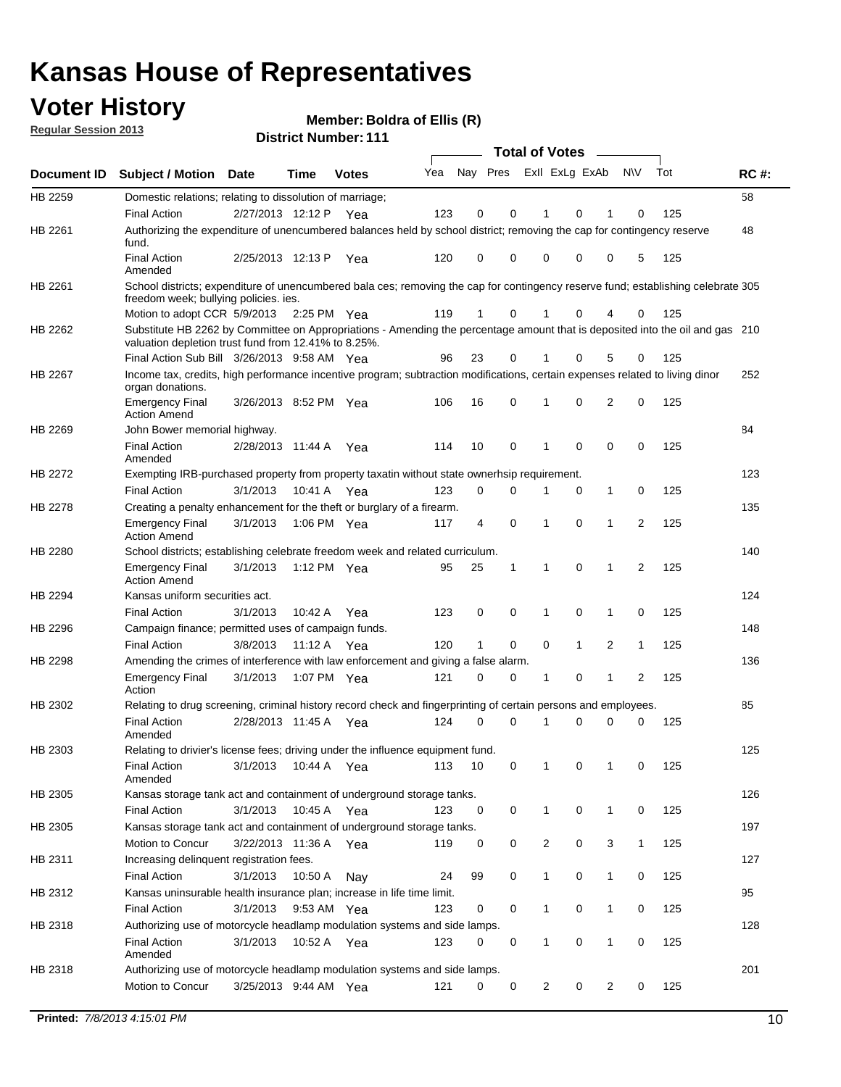## **Voter History**

**Member: Boldra of Ellis (R)** 

**Regular Session 2013**

|                    |                                                                                                                                                                                       |                       |             | ו ו ו ושעווווטדו וווי |     |                         |             | <b>Total of Votes</b> |              | $\sim$         |              |     |             |
|--------------------|---------------------------------------------------------------------------------------------------------------------------------------------------------------------------------------|-----------------------|-------------|-----------------------|-----|-------------------------|-------------|-----------------------|--------------|----------------|--------------|-----|-------------|
| <b>Document ID</b> | <b>Subject / Motion</b>                                                                                                                                                               | <b>Date</b>           | Time        | <b>Votes</b>          | Yea | Nay Pres Exll ExLg ExAb |             |                       |              |                | N\V          | Tot | <b>RC#:</b> |
| HB 2259            | Domestic relations; relating to dissolution of marriage;                                                                                                                              |                       |             |                       |     |                         |             |                       |              |                |              |     | 58          |
|                    | <b>Final Action</b>                                                                                                                                                                   | 2/27/2013 12:12 P     |             | Yea                   | 123 | 0                       | 0           | 1                     | 0            | 1              | $\Omega$     | 125 |             |
| HB 2261            | Authorizing the expenditure of unencumbered balances held by school district; removing the cap for contingency reserve<br>fund.                                                       |                       |             |                       |     |                         |             |                       |              |                |              |     | 48          |
|                    | <b>Final Action</b><br>Amended                                                                                                                                                        | 2/25/2013 12:13 P     |             | Yea                   | 120 | 0                       | 0           | 0                     | 0            | 0              | 5            | 125 |             |
| HB 2261            | School districts; expenditure of unencumbered bala ces; removing the cap for contingency reserve fund; establishing celebrate 305<br>freedom week; bullying policies. ies.            |                       |             |                       |     |                         |             |                       |              |                |              |     |             |
|                    | Motion to adopt CCR 5/9/2013                                                                                                                                                          |                       | 2:25 PM Yea |                       | 119 | 1                       | 0           |                       | 0            | 4              | 0            | 125 |             |
| HB 2262            | Substitute HB 2262 by Committee on Appropriations - Amending the percentage amount that is deposited into the oil and gas 210<br>valuation depletion trust fund from 12.41% to 8.25%. |                       |             |                       |     |                         |             |                       |              |                |              |     |             |
|                    | Final Action Sub Bill 3/26/2013 9:58 AM Yea                                                                                                                                           |                       |             |                       | 96  | 23                      | 0           |                       | 0            | 5              | 0            | 125 |             |
| HB 2267            | Income tax, credits, high performance incentive program; subtraction modifications, certain expenses related to living dinor<br>organ donations.                                      |                       |             |                       |     |                         |             |                       |              |                |              |     | 252         |
|                    | <b>Emergency Final</b><br><b>Action Amend</b>                                                                                                                                         | 3/26/2013 8:52 PM Yea |             |                       | 106 | 16                      | 0           | 1                     | 0            | 2              | 0            | 125 |             |
| HB 2269            | John Bower memorial highway.                                                                                                                                                          |                       |             |                       |     |                         |             |                       |              |                |              |     | 84          |
|                    | <b>Final Action</b><br>Amended                                                                                                                                                        | 2/28/2013 11:44 A Yea |             |                       | 114 | 10                      | 0           | 1                     | 0            | 0              | 0            | 125 |             |
| HB 2272            | Exempting IRB-purchased property from property taxatin without state ownerhsip requirement.                                                                                           |                       |             |                       |     |                         |             |                       |              |                |              |     | 123         |
|                    | <b>Final Action</b>                                                                                                                                                                   | 3/1/2013              | 10:41 A Yea |                       | 123 | 0                       | 0           | 1                     | 0            | $\mathbf{1}$   | 0            | 125 |             |
| HB 2278            | Creating a penalty enhancement for the theft or burglary of a firearm.                                                                                                                |                       |             |                       |     |                         |             |                       |              |                |              |     | 135         |
|                    | <b>Emergency Final</b><br><b>Action Amend</b>                                                                                                                                         | 3/1/2013              | 1:06 PM Yea |                       | 117 | 4                       | $\mathbf 0$ | 1                     | $\Omega$     | 1              | 2            | 125 |             |
| HB 2280            | School districts; establishing celebrate freedom week and related curriculum.                                                                                                         |                       |             |                       |     |                         |             |                       |              |                |              |     | 140         |
|                    | <b>Emergency Final</b><br><b>Action Amend</b>                                                                                                                                         | 3/1/2013              | 1:12 PM Yea |                       | 95  | 25                      | 1           | 1                     | 0            | 1              | 2            | 125 |             |
| HB 2294            | Kansas uniform securities act.                                                                                                                                                        |                       |             |                       |     |                         |             |                       |              |                |              |     | 124         |
|                    | <b>Final Action</b>                                                                                                                                                                   | 3/1/2013              | 10:42 A Yea |                       | 123 | 0                       | 0           | 1                     | $\mathbf 0$  | $\mathbf{1}$   | 0            | 125 |             |
| HB 2296            | Campaign finance; permitted uses of campaign funds.                                                                                                                                   |                       |             |                       |     |                         |             |                       |              |                |              |     | 148         |
|                    | <b>Final Action</b>                                                                                                                                                                   | 3/8/2013              | 11:12 A Yea |                       | 120 | $\mathbf{1}$            | 0           | 0                     | $\mathbf{1}$ | $\overline{2}$ | $\mathbf{1}$ | 125 |             |
| HB 2298            | Amending the crimes of interference with law enforcement and giving a false alarm.                                                                                                    |                       |             |                       |     |                         |             |                       |              |                |              |     | 136         |
|                    | <b>Emergency Final</b><br>Action                                                                                                                                                      | 3/1/2013              | 1:07 PM Yea |                       | 121 | 0                       | 0           | 1                     | 0            | $\mathbf{1}$   | 2            | 125 |             |
| HB 2302            | Relating to drug screening, criminal history record check and fingerprinting of certain persons and employees.                                                                        |                       |             |                       |     |                         |             |                       |              |                |              |     | 85          |
|                    | <b>Final Action</b><br>Amended                                                                                                                                                        | 2/28/2013 11:45 A Yea |             |                       | 124 | 0                       | $\Omega$    | 1                     | 0            | 0              | $\mathbf 0$  | 125 |             |
| HB 2303            | Relating to drivier's license fees; driving under the influence equipment fund.                                                                                                       |                       |             |                       |     |                         |             |                       |              |                |              |     | 125         |
|                    | <b>Final Action</b><br>Amended                                                                                                                                                        | 3/1/2013              | 10:44 A     | Yea                   | 113 | 10                      | 0           | 1                     | 0            | 1              | 0            | 125 |             |
| HB 2305            | Kansas storage tank act and containment of underground storage tanks.                                                                                                                 |                       |             |                       |     |                         |             |                       |              |                |              |     | 126         |
|                    | <b>Final Action</b>                                                                                                                                                                   | 3/1/2013              | 10:45 A     | Yea                   | 123 | 0                       | 0           | 1                     | 0            | 1              | 0            | 125 |             |
| HB 2305            | Kansas storage tank act and containment of underground storage tanks.                                                                                                                 |                       |             |                       |     |                         |             |                       |              |                |              |     | 197         |
|                    | Motion to Concur                                                                                                                                                                      | 3/22/2013 11:36 A     |             | Yea                   | 119 | 0                       | 0           | 2                     | 0            | 3              | $\mathbf{1}$ | 125 |             |
| HB 2311            | Increasing delinquent registration fees.                                                                                                                                              |                       |             |                       |     |                         |             |                       |              |                |              |     | 127         |
|                    | <b>Final Action</b>                                                                                                                                                                   | 3/1/2013              | 10:50 A     | Nay                   | 24  | 99                      | 0           | $\mathbf{1}$          | 0            | $\mathbf{1}$   | 0            | 125 |             |
| HB 2312            | Kansas uninsurable health insurance plan; increase in life time limit.                                                                                                                |                       |             |                       |     |                         |             |                       |              |                |              |     | 95          |
|                    | <b>Final Action</b>                                                                                                                                                                   | 3/1/2013              | 9:53 AM Yea |                       | 123 | 0                       | 0           | 1                     | 0            | 1              | 0            | 125 |             |
| HB 2318            | Authorizing use of motorcycle headlamp modulation systems and side lamps.                                                                                                             |                       |             |                       |     |                         |             |                       |              |                |              |     | 128         |
|                    | <b>Final Action</b><br>Amended                                                                                                                                                        | 3/1/2013              | 10:52 A Yea |                       | 123 | 0                       | 0           | 1                     | 0            | 1              | 0            | 125 |             |
| HB 2318            | Authorizing use of motorcycle headlamp modulation systems and side lamps.                                                                                                             |                       |             |                       |     |                         |             |                       |              |                |              |     | 201         |
|                    | Motion to Concur                                                                                                                                                                      | 3/25/2013 9:44 AM Yea |             |                       | 121 | 0                       | 0           | 2                     | 0            | $\overline{2}$ | 0            | 125 |             |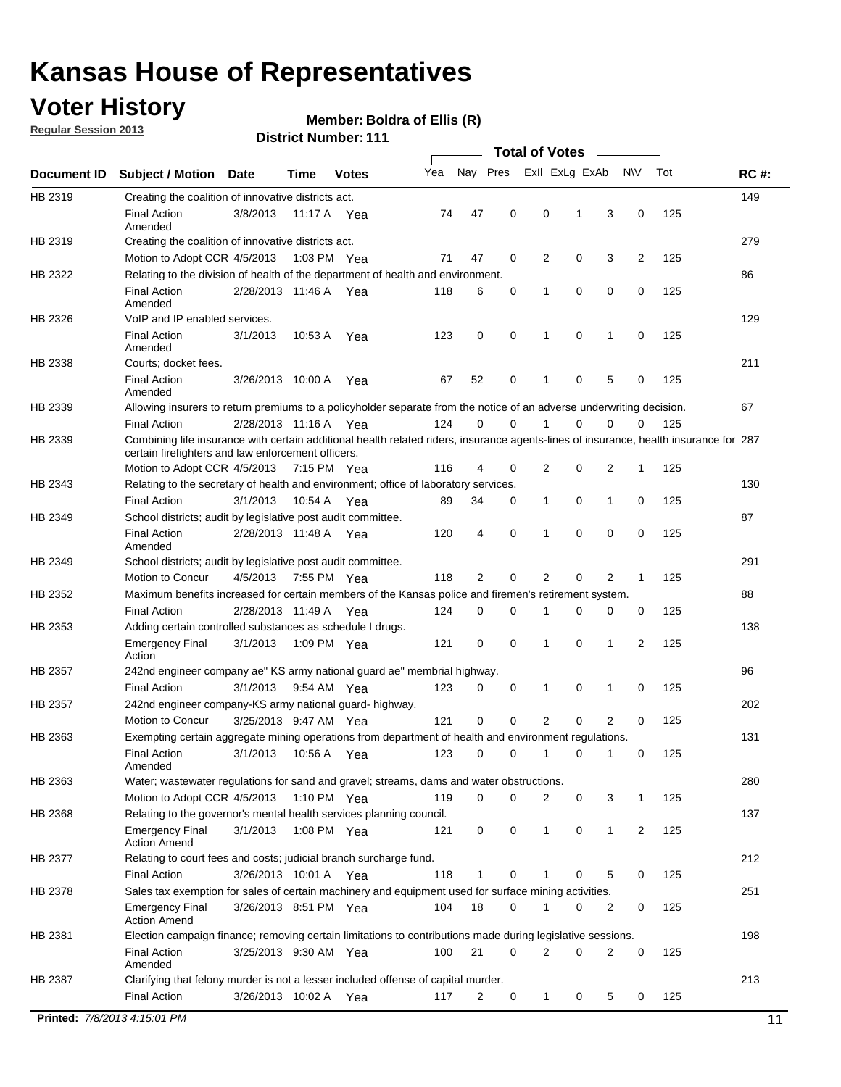## **Voter History**

**Member: Boldra of Ellis (R)** 

**Regular Session 2013**

**District Number: 111**

|             |                                                                                                                                                                                             |                       |             |              |     |          |   | <b>Total of Votes</b> |   |                |           |     |             |
|-------------|---------------------------------------------------------------------------------------------------------------------------------------------------------------------------------------------|-----------------------|-------------|--------------|-----|----------|---|-----------------------|---|----------------|-----------|-----|-------------|
| Document ID | <b>Subject / Motion</b>                                                                                                                                                                     | <b>Date</b>           | Time        | <b>Votes</b> | Yea | Nay Pres |   | Exll ExLg ExAb        |   |                | <b>NV</b> | Tot | <b>RC#:</b> |
| HB 2319     | Creating the coalition of innovative districts act.                                                                                                                                         |                       |             |              |     |          |   |                       |   |                |           |     | 149         |
|             | <b>Final Action</b><br>Amended                                                                                                                                                              | 3/8/2013              |             | 11:17 A Yea  | 74  | 47       | 0 | 0                     | 1 | 3              | 0         | 125 |             |
| HB 2319     | Creating the coalition of innovative districts act.                                                                                                                                         |                       |             |              |     |          |   |                       |   |                |           |     | 279         |
|             | Motion to Adopt CCR 4/5/2013                                                                                                                                                                |                       | 1:03 PM Yea |              | 71  | 47       | 0 | 2                     | 0 | 3              | 2         | 125 |             |
| HB 2322     | Relating to the division of health of the department of health and environment.                                                                                                             |                       |             |              |     |          |   |                       |   |                |           |     | 86          |
|             | <b>Final Action</b><br>Amended                                                                                                                                                              | 2/28/2013 11:46 A Yea |             |              | 118 | 6        | 0 | 1                     | 0 | 0              | 0         | 125 |             |
| HB 2326     | VoIP and IP enabled services.                                                                                                                                                               |                       |             |              |     |          |   |                       |   |                |           |     | 129         |
|             | <b>Final Action</b><br>Amended                                                                                                                                                              | 3/1/2013              | 10:53 A     | Yea          | 123 | 0        | 0 | 1                     | 0 | 1              | 0         | 125 |             |
| HB 2338     | Courts; docket fees.                                                                                                                                                                        |                       |             |              |     |          |   |                       |   |                |           |     | 211         |
|             | <b>Final Action</b><br>Amended                                                                                                                                                              | 3/26/2013 10:00 A     |             | Yea          | 67  | 52       | 0 | 1                     | 0 | 5              | 0         | 125 |             |
| HB 2339     | Allowing insurers to return premiums to a policyholder separate from the notice of an adverse underwriting decision.                                                                        |                       |             |              |     |          |   |                       |   |                |           |     | 67          |
|             | <b>Final Action</b>                                                                                                                                                                         | 2/28/2013 11:16 A Yea |             |              | 124 | 0        | 0 |                       | 0 | 0              | 0         | 125 |             |
| HB 2339     | Combining life insurance with certain additional health related riders, insurance agents-lines of insurance, health insurance for 287<br>certain firefighters and law enforcement officers. |                       |             |              |     |          |   |                       |   |                |           |     |             |
|             | Motion to Adopt CCR 4/5/2013 7:15 PM Yea                                                                                                                                                    |                       |             |              | 116 | 4        | 0 | 2                     | 0 | 2              | 1         | 125 |             |
| HB 2343     | Relating to the secretary of health and environment; office of laboratory services.                                                                                                         |                       |             |              |     |          |   |                       |   |                |           |     | 130         |
|             | <b>Final Action</b>                                                                                                                                                                         | 3/1/2013              | 10:54 A Yea |              | 89  | 34       | 0 | 1                     | 0 | 1              | 0         | 125 |             |
| HB 2349     | School districts; audit by legislative post audit committee.                                                                                                                                |                       |             |              |     |          |   |                       |   |                |           |     | 87          |
|             | <b>Final Action</b><br>Amended                                                                                                                                                              | 2/28/2013 11:48 A Yea |             |              | 120 | 4        | 0 | 1                     | 0 | 0              | 0         | 125 |             |
| HB 2349     | School districts; audit by legislative post audit committee.                                                                                                                                |                       |             |              |     |          |   |                       |   |                |           |     | 291         |
|             | Motion to Concur                                                                                                                                                                            | 4/5/2013              | 7:55 PM Yea |              | 118 | 2        | 0 | 2                     | 0 | $\overline{2}$ | 1         | 125 |             |
| HB 2352     | Maximum benefits increased for certain members of the Kansas police and firemen's retirement system.                                                                                        |                       |             |              |     |          |   |                       |   |                |           |     | 88          |
|             | <b>Final Action</b>                                                                                                                                                                         | 2/28/2013 11:49 A     |             | Yea          | 124 | 0        | 0 | 1                     | 0 | 0              | 0         | 125 |             |
| HB 2353     | Adding certain controlled substances as schedule I drugs.                                                                                                                                   |                       |             |              |     |          |   |                       |   |                |           |     | 138         |
|             | <b>Emergency Final</b><br>Action                                                                                                                                                            | 3/1/2013              |             | 1:09 PM Yea  | 121 | 0        | 0 | 1                     | 0 | 1              | 2         | 125 |             |
| HB 2357     | 242nd engineer company ae" KS army national guard ae" membrial highway.                                                                                                                     |                       |             |              |     |          |   |                       |   |                |           |     | 96          |
|             | <b>Final Action</b>                                                                                                                                                                         | 3/1/2013              | 9:54 AM Yea |              | 123 | 0        | 0 | 1                     | 0 | 1              | 0         | 125 |             |
| HB 2357     | 242nd engineer company-KS army national guard- highway.                                                                                                                                     |                       |             |              |     |          |   |                       |   |                |           |     | 202         |
|             | Motion to Concur                                                                                                                                                                            | 3/25/2013 9:47 AM Yea |             |              | 121 | 0        | 0 | 2                     | 0 | 2              | 0         | 125 |             |
| HB 2363     | Exempting certain aggregate mining operations from department of health and environment regulations.                                                                                        |                       |             |              |     |          |   |                       |   |                |           |     | 131         |
|             | <b>Final Action</b><br>Amended                                                                                                                                                              | 3/1/2013              | 10:56 A     | Yea          | 123 | 0        | 0 | 1                     | 0 | 1              | 0         | 125 |             |
| HB 2363     | Water; wastewater regulations for sand and gravel; streams, dams and water obstructions.                                                                                                    |                       |             |              |     |          |   |                       |   |                |           |     | 280         |
|             | Motion to Adopt CCR 4/5/2013                                                                                                                                                                |                       |             | 1:10 PM Yea  | 119 | 0        | 0 | 2                     | 0 | 3              | 1         | 125 |             |
| HB 2368     | Relating to the governor's mental health services planning council.                                                                                                                         |                       |             |              |     |          |   |                       |   |                |           |     | 137         |
|             | <b>Emergency Final</b><br><b>Action Amend</b>                                                                                                                                               | 3/1/2013              |             | 1:08 PM Yea  | 121 | 0        | 0 | $\mathbf{1}$          | 0 | 1              | 2         | 125 |             |
| HB 2377     | Relating to court fees and costs; judicial branch surcharge fund.                                                                                                                           |                       |             |              |     |          |   |                       |   |                |           |     | 212         |
|             | <b>Final Action</b>                                                                                                                                                                         | 3/26/2013 10:01 A Yea |             |              | 118 | 1        | 0 |                       | 0 | 5              | 0         | 125 |             |
| HB 2378     | Sales tax exemption for sales of certain machinery and equipment used for surface mining activities.                                                                                        |                       |             |              |     |          |   |                       |   |                |           |     | 251         |
|             | <b>Emergency Final</b><br><b>Action Amend</b>                                                                                                                                               | 3/26/2013 8:51 PM Yea |             |              | 104 | 18       | 0 |                       | 0 | 2              | 0         | 125 |             |
| HB 2381     | Election campaign finance; removing certain limitations to contributions made during legislative sessions.                                                                                  |                       |             |              |     |          |   |                       |   |                |           |     | 198         |
|             | <b>Final Action</b><br>Amended                                                                                                                                                              | 3/25/2013 9:30 AM Yea |             |              | 100 | 21       | 0 | $\overline{2}$        | 0 | 2              | 0         | 125 |             |
| HB 2387     | Clarifying that felony murder is not a lesser included offense of capital murder.<br><b>Final Action</b>                                                                                    | 3/26/2013 10:02 A Yea |             |              | 117 | 2        | 0 | $\mathbf{1}$          | 0 | 5              | 0         | 125 | 213         |
|             |                                                                                                                                                                                             |                       |             |              |     |          |   |                       |   |                |           |     |             |

**Printed:**  $7/8/20134:15:01 \text{ PM}$  11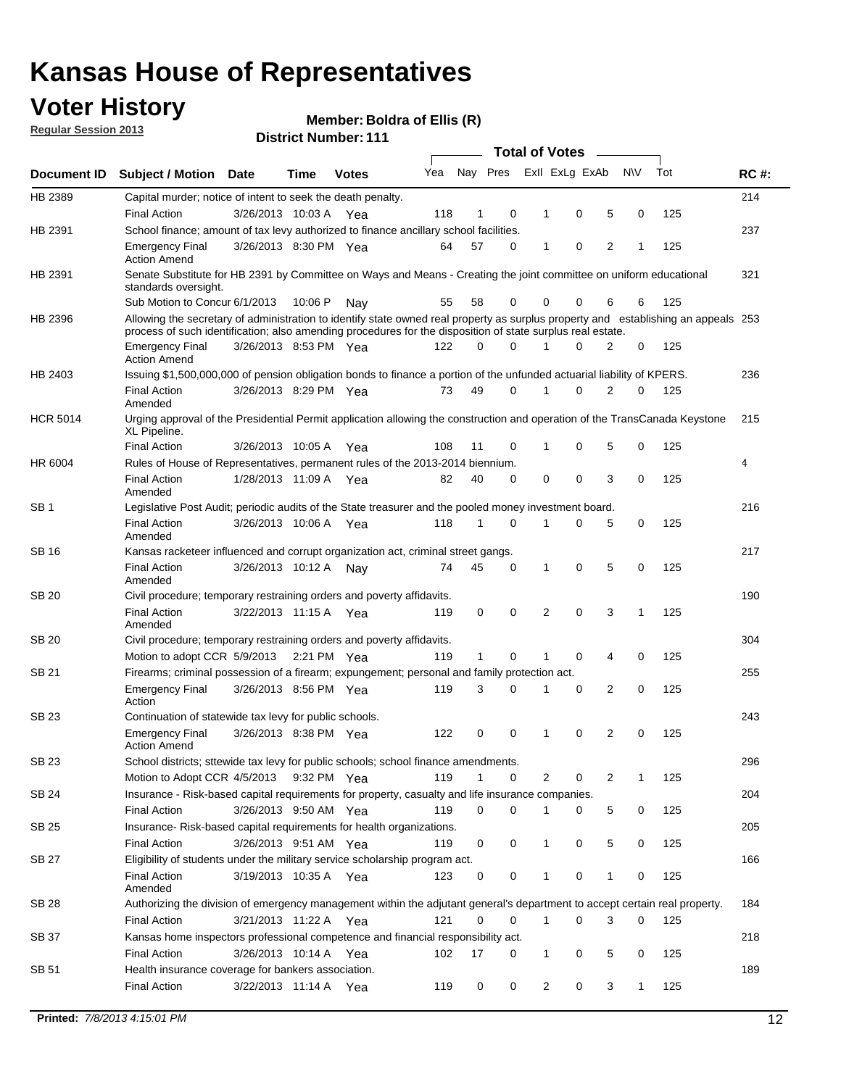## **Voter History**

**Member: Boldra of Ellis (R)** 

**Regular Session 2013**

|                 |                                                                                                                                                                                                                                                  |                       |         |              |     |              |   | <b>Total of Votes</b> |   |   |              |     |             |
|-----------------|--------------------------------------------------------------------------------------------------------------------------------------------------------------------------------------------------------------------------------------------------|-----------------------|---------|--------------|-----|--------------|---|-----------------------|---|---|--------------|-----|-------------|
| Document ID     | <b>Subject / Motion</b>                                                                                                                                                                                                                          | <b>Date</b>           | Time    | <b>Votes</b> | Yea | Nay Pres     |   | Exll ExLg ExAb        |   |   | <b>NV</b>    | Tot | <b>RC#:</b> |
| HB 2389         | Capital murder; notice of intent to seek the death penalty.                                                                                                                                                                                      |                       |         |              |     |              |   |                       |   |   |              |     | 214         |
|                 | <b>Final Action</b>                                                                                                                                                                                                                              | 3/26/2013 10:03 A     |         | Yea          | 118 | 1            | 0 | 1                     | 0 | 5 | 0            | 125 |             |
| HB 2391         | School finance; amount of tax levy authorized to finance ancillary school facilities.                                                                                                                                                            |                       |         |              |     |              |   |                       |   |   |              |     | 237         |
|                 | <b>Emergency Final</b><br><b>Action Amend</b>                                                                                                                                                                                                    | 3/26/2013 8:30 PM Yea |         |              | 64  | 57           | 0 | 1                     | 0 | 2 | 1            | 125 |             |
| HB 2391         | Senate Substitute for HB 2391 by Committee on Ways and Means - Creating the joint committee on uniform educational<br>standards oversight.                                                                                                       |                       |         |              |     |              |   |                       |   |   |              |     | 321         |
|                 | Sub Motion to Concur 6/1/2013                                                                                                                                                                                                                    |                       | 10:06 P | Nav          | 55  | 58           | 0 | 0                     | 0 | 6 | 6            | 125 |             |
| HB 2396         | Allowing the secretary of administration to identify state owned real property as surplus property and establishing an appeals 253<br>process of such identification; also amending procedures for the disposition of state surplus real estate. |                       |         |              |     |              |   |                       |   |   |              |     |             |
|                 | <b>Emergency Final</b><br><b>Action Amend</b>                                                                                                                                                                                                    | 3/26/2013 8:53 PM Yea |         |              | 122 | 0            | 0 | 1                     | 0 | 2 | 0            | 125 |             |
| HB 2403         | Issuing \$1,500,000,000 of pension obligation bonds to finance a portion of the unfunded actuarial liability of KPERS.                                                                                                                           |                       |         |              |     |              |   |                       |   |   |              |     | 236         |
|                 | <b>Final Action</b><br>Amended                                                                                                                                                                                                                   | 3/26/2013 8:29 PM Yea |         |              | 73  | 49           | 0 | 1                     | 0 | 2 | 0            | 125 |             |
| <b>HCR 5014</b> | Urging approval of the Presidential Permit application allowing the construction and operation of the TransCanada Keystone<br>XL Pipeline.                                                                                                       |                       |         |              |     |              |   |                       |   |   |              |     | 215         |
|                 | <b>Final Action</b>                                                                                                                                                                                                                              | 3/26/2013 10:05 A     |         | Yea          | 108 | 11           | 0 |                       | 0 | 5 | 0            | 125 |             |
| HR 6004         | Rules of House of Representatives, permanent rules of the 2013-2014 biennium.                                                                                                                                                                    |                       |         |              |     |              |   |                       |   |   |              |     | 4           |
|                 | <b>Final Action</b><br>Amended                                                                                                                                                                                                                   | 1/28/2013 11:09 A     |         | Yea          | 82  | 40           | 0 | 0                     | 0 | 3 | 0            | 125 |             |
| SB 1            | Legislative Post Audit; periodic audits of the State treasurer and the pooled money investment board.                                                                                                                                            |                       |         |              |     |              |   |                       |   |   |              |     | 216         |
|                 | <b>Final Action</b><br>Amended                                                                                                                                                                                                                   | 3/26/2013 10:06 A     |         | Yea          | 118 | $\mathbf{1}$ | 0 | 1                     | 0 | 5 | 0            | 125 |             |
| SB 16           | Kansas racketeer influenced and corrupt organization act, criminal street gangs.                                                                                                                                                                 |                       |         |              |     |              |   |                       |   |   |              |     | 217         |
|                 | <b>Final Action</b><br>Amended                                                                                                                                                                                                                   | 3/26/2013 10:12 A Nay |         |              | 74  | 45           | 0 | 1                     | 0 | 5 | 0            | 125 |             |
| SB 20           | Civil procedure; temporary restraining orders and poverty affidavits.                                                                                                                                                                            |                       |         |              |     |              |   |                       |   |   |              |     | 190         |
|                 | <b>Final Action</b><br>Amended                                                                                                                                                                                                                   | 3/22/2013 11:15 A     |         | Yea          | 119 | 0            | 0 | 2                     | 0 | 3 | $\mathbf{1}$ | 125 |             |
| <b>SB 20</b>    | Civil procedure; temporary restraining orders and poverty affidavits.                                                                                                                                                                            |                       |         |              |     |              |   |                       |   |   |              |     | 304         |
|                 | Motion to adopt CCR 5/9/2013 2:21 PM Yea                                                                                                                                                                                                         |                       |         |              | 119 | 1            | 0 | 1                     | 0 | 4 | 0            | 125 |             |
| SB 21           | Firearms; criminal possession of a firearm; expungement; personal and family protection act.                                                                                                                                                     |                       |         |              |     |              |   |                       |   |   |              |     | 255         |
|                 | <b>Emergency Final</b><br>Action                                                                                                                                                                                                                 | 3/26/2013 8:56 PM Yea |         |              | 119 | 3            | 0 | 1                     | 0 | 2 | 0            | 125 |             |
| SB 23           | Continuation of statewide tax levy for public schools.                                                                                                                                                                                           |                       |         |              |     |              |   |                       |   |   |              |     | 243         |
|                 | <b>Emergency Final</b><br><b>Action Amend</b>                                                                                                                                                                                                    | 3/26/2013 8:38 PM Yea |         |              | 122 | 0            | 0 | 1                     | 0 | 2 | 0            | 125 |             |
| SB 23           | School districts; sttewide tax levy for public schools; school finance amendments.                                                                                                                                                               |                       |         |              |     |              |   |                       |   |   |              |     | 296         |
|                 | Motion to Adopt CCR 4/5/2013 9:32 PM Yea                                                                                                                                                                                                         |                       |         |              | 119 | $\mathbf{1}$ | 0 | 2                     | 0 | 2 | 1            | 125 |             |
| <b>SB 24</b>    | Insurance - Risk-based capital requirements for property, casualty and life insurance companies.                                                                                                                                                 |                       |         |              |     |              |   |                       |   |   |              |     | 204         |
|                 | <b>Final Action</b>                                                                                                                                                                                                                              | 3/26/2013 9:50 AM Yea |         |              | 119 | 0            | 0 | 1                     | 0 | 5 | 0            | 125 |             |
| SB 25           | Insurance-Risk-based capital requirements for health organizations.<br><b>Final Action</b>                                                                                                                                                       | 3/26/2013 9:51 AM Yea |         |              | 119 | 0            | 0 | 1                     | 0 | 5 | 0            | 125 | 205         |
| SB 27           | Eligibility of students under the military service scholarship program act.                                                                                                                                                                      |                       |         |              |     |              |   |                       |   |   |              |     | 166         |
|                 | <b>Final Action</b><br>Amended                                                                                                                                                                                                                   | 3/19/2013 10:35 A Yea |         |              | 123 | 0            | 0 |                       | 0 | 1 | 0            | 125 |             |
| SB 28           | Authorizing the division of emergency management within the adjutant general's department to accept certain real property.                                                                                                                       |                       |         |              |     |              |   |                       |   |   |              |     | 184         |
|                 | <b>Final Action</b>                                                                                                                                                                                                                              | 3/21/2013 11:22 A Yea |         |              | 121 | $\Omega$     | 0 | 1                     | 0 | 3 | $\Omega$     | 125 |             |
| SB 37           | Kansas home inspectors professional competence and financial responsibility act.                                                                                                                                                                 |                       |         |              |     |              |   |                       |   |   |              |     | 218         |
|                 | <b>Final Action</b>                                                                                                                                                                                                                              | 3/26/2013 10:14 A Yea |         |              | 102 | 17           | 0 | 1                     | 0 | 5 | 0            | 125 |             |
| SB 51           | Health insurance coverage for bankers association.                                                                                                                                                                                               |                       |         |              |     |              |   |                       |   |   |              |     | 189         |
|                 | <b>Final Action</b>                                                                                                                                                                                                                              | 3/22/2013 11:14 A Yea |         |              | 119 | 0            | 0 | $\overline{2}$        | 0 | 3 | $\mathbf{1}$ | 125 |             |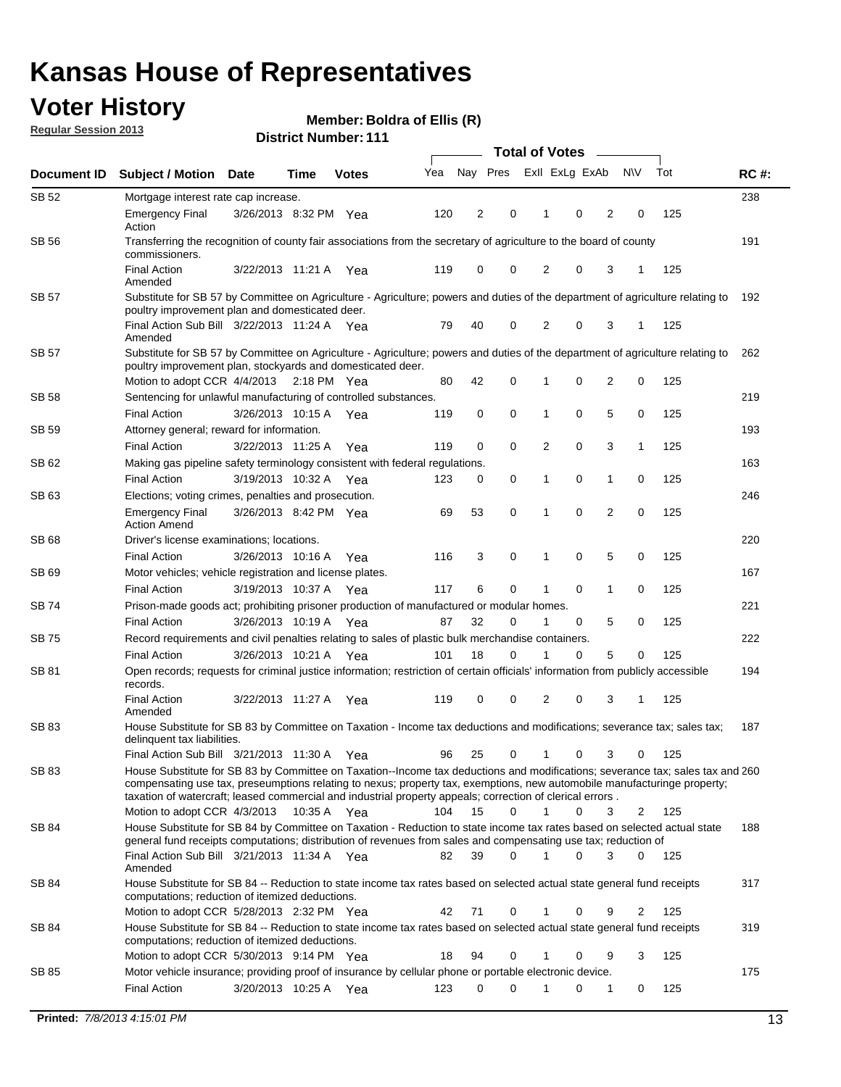## **Voter History**

**Member: Boldra of Ellis (R)** 

**Regular Session 2013**

| Document ID  |                                                                                                                                                                                                                                                                                           |                       |             |              |     | <b>Total of Votes</b> |             |                |   |                |              |     |             |  |
|--------------|-------------------------------------------------------------------------------------------------------------------------------------------------------------------------------------------------------------------------------------------------------------------------------------------|-----------------------|-------------|--------------|-----|-----------------------|-------------|----------------|---|----------------|--------------|-----|-------------|--|
|              | <b>Subject / Motion Date</b>                                                                                                                                                                                                                                                              |                       | Time        | <b>Votes</b> | Yea | Nay Pres              |             | Exll ExLg ExAb |   |                | <b>NV</b>    | Tot | <b>RC#:</b> |  |
| SB 52        | Mortgage interest rate cap increase.                                                                                                                                                                                                                                                      |                       |             |              |     |                       |             |                |   |                |              |     | 238         |  |
|              | <b>Emergency Final</b><br>Action                                                                                                                                                                                                                                                          | 3/26/2013 8:32 PM Yea |             |              | 120 | 2                     | 0           | 1              | 0 | 2              | 0            | 125 |             |  |
| SB 56        | Transferring the recognition of county fair associations from the secretary of agriculture to the board of county<br>commissioners.                                                                                                                                                       |                       |             |              |     |                       |             |                |   |                |              |     | 191         |  |
|              | <b>Final Action</b><br>Amended                                                                                                                                                                                                                                                            | 3/22/2013 11:21 A     |             | Yea          | 119 | 0                     | 0           | 2              | 0 | 3              |              | 125 |             |  |
| <b>SB 57</b> | Substitute for SB 57 by Committee on Agriculture - Agriculture; powers and duties of the department of agriculture relating to<br>poultry improvement plan and domesticated deer.                                                                                                         |                       |             |              |     |                       |             |                |   |                |              |     | 192         |  |
|              | Final Action Sub Bill 3/22/2013 11:24 A Yea<br>Amended                                                                                                                                                                                                                                    |                       |             |              | 79  | 40                    | 0           | 2              | 0 | 3              | -1           | 125 |             |  |
| <b>SB 57</b> | Substitute for SB 57 by Committee on Agriculture - Agriculture; powers and duties of the department of agriculture relating to<br>poultry improvement plan, stockyards and domesticated deer.                                                                                             |                       |             |              |     |                       |             |                |   |                |              |     | 262         |  |
|              | Motion to adopt CCR 4/4/2013                                                                                                                                                                                                                                                              |                       | 2:18 PM Yea |              | 80  | 42                    | 0           | 1              | 0 | 2              | 0            | 125 |             |  |
| SB 58        | Sentencing for unlawful manufacturing of controlled substances.                                                                                                                                                                                                                           |                       |             |              |     |                       |             |                |   |                |              |     | 219         |  |
|              | <b>Final Action</b>                                                                                                                                                                                                                                                                       | 3/26/2013 10:15 A     |             | Yea          | 119 | 0                     | $\mathbf 0$ | 1              | 0 | 5              | 0            | 125 |             |  |
| SB 59        | Attorney general; reward for information.                                                                                                                                                                                                                                                 |                       |             |              |     |                       |             |                |   |                |              |     | 193         |  |
|              | <b>Final Action</b>                                                                                                                                                                                                                                                                       | 3/22/2013 11:25 A     |             | Yea          | 119 | 0                     | $\mathbf 0$ | $\overline{2}$ | 0 | 3              | $\mathbf{1}$ | 125 |             |  |
| SB 62        | Making gas pipeline safety terminology consistent with federal regulations.                                                                                                                                                                                                               |                       |             |              |     |                       |             |                |   |                |              |     | 163         |  |
|              | <b>Final Action</b>                                                                                                                                                                                                                                                                       | 3/19/2013 10:32 A     |             | Yea          | 123 | 0                     | 0           | 1              | 0 | 1              | 0            | 125 |             |  |
| SB 63        | Elections; voting crimes, penalties and prosecution.                                                                                                                                                                                                                                      |                       |             |              |     |                       |             |                |   |                |              |     | 246         |  |
|              | <b>Emergency Final</b><br><b>Action Amend</b>                                                                                                                                                                                                                                             | 3/26/2013 8:42 PM Yea |             |              | 69  | 53                    | $\mathbf 0$ | 1              | 0 | $\overline{2}$ | 0            | 125 |             |  |
| SB 68        | Driver's license examinations; locations.                                                                                                                                                                                                                                                 |                       |             |              |     |                       |             |                |   |                |              |     | 220         |  |
|              | <b>Final Action</b>                                                                                                                                                                                                                                                                       | 3/26/2013 10:16 A     |             | Yea          | 116 | 3                     | 0           | 1              | 0 | 5              | 0            | 125 |             |  |
| SB 69        | Motor vehicles; vehicle registration and license plates.                                                                                                                                                                                                                                  |                       |             |              |     |                       |             |                |   |                |              |     | 167         |  |
|              | <b>Final Action</b>                                                                                                                                                                                                                                                                       | 3/19/2013 10:37 A     |             | Yea          | 117 | 6                     | 0           | 1              | 0 | 1              | 0            | 125 |             |  |
| SB 74        | Prison-made goods act; prohibiting prisoner production of manufactured or modular homes.                                                                                                                                                                                                  |                       |             |              |     |                       |             |                |   |                |              |     | 221         |  |
|              | <b>Final Action</b>                                                                                                                                                                                                                                                                       | 3/26/2013 10:19 A     |             | Yea          | 87  | 32                    | 0           | 1              | 0 | 5              | 0            | 125 |             |  |
| SB 75        | Record requirements and civil penalties relating to sales of plastic bulk merchandise containers.                                                                                                                                                                                         |                       |             |              |     |                       |             |                |   |                |              |     | 222         |  |
|              | <b>Final Action</b>                                                                                                                                                                                                                                                                       | 3/26/2013 10:21 A     |             | Yea          | 101 | 18                    | 0           | 1              | 0 | 5              | 0            | 125 |             |  |
| SB 81        | Open records; requests for criminal justice information; restriction of certain officials' information from publicly accessible<br>records.                                                                                                                                               |                       |             |              |     |                       |             |                |   |                |              |     | 194         |  |
|              | <b>Final Action</b><br>Amended                                                                                                                                                                                                                                                            | 3/22/2013 11:27 A     |             | Yea          | 119 | 0                     | 0           | 2              | 0 | 3              | 1            | 125 |             |  |
| SB 83        | House Substitute for SB 83 by Committee on Taxation - Income tax deductions and modifications; severance tax; sales tax;<br>delinquent tax liabilities.<br>Final Action Sub Bill 3/21/2013 11:30 A Yea                                                                                    |                       |             |              | 96  | 25                    | 0           | 1              | 0 | 3              | 0            | 125 | 187         |  |
| SB 83        | House Substitute for SB 83 by Committee on Taxation--Income tax deductions and modifications; severance tax; sales tax and 260                                                                                                                                                            |                       |             |              |     |                       |             |                |   |                |              |     |             |  |
|              | compensating use tax, preseumptions relating to nexus; property tax, exemptions, new automobile manufacturinge property;<br>taxation of watercraft; leased commercial and industrial property appeals; correction of clerical errors.                                                     |                       |             |              |     |                       |             |                |   |                |              |     |             |  |
|              | Motion to adopt CCR 4/3/2013                                                                                                                                                                                                                                                              |                       | 10:35 A Yea |              | 104 | 15                    | $\Omega$    | $\mathbf{1}$   | 0 | 3              | 2            | 125 |             |  |
| SB 84        | House Substitute for SB 84 by Committee on Taxation - Reduction to state income tax rates based on selected actual state<br>general fund receipts computations; distribution of revenues from sales and compensating use tax; reduction of<br>Final Action Sub Bill 3/21/2013 11:34 A Yea |                       |             |              |     |                       | $\Omega$    |                | 0 |                |              |     | 188         |  |
| SB 84        | Amended<br>House Substitute for SB 84 -- Reduction to state income tax rates based on selected actual state general fund receipts                                                                                                                                                         |                       |             |              | 82  | 39                    |             |                |   | 3              | $\Omega$     | 125 | 317         |  |
|              | computations; reduction of itemized deductions.<br>Motion to adopt CCR 5/28/2013 2:32 PM Yea                                                                                                                                                                                              |                       |             |              | 42  | 71                    | 0           |                | 0 | 9              | 2            | 125 |             |  |
| SB 84        | House Substitute for SB 84 -- Reduction to state income tax rates based on selected actual state general fund receipts                                                                                                                                                                    |                       |             |              |     |                       |             |                |   |                |              |     | 319         |  |
|              | computations; reduction of itemized deductions.<br>Motion to adopt CCR 5/30/2013 9:14 PM Yea                                                                                                                                                                                              |                       |             |              | 18  | 94                    | 0           | 1              | 0 | 9              | 3            | 125 |             |  |
| SB 85        | Motor vehicle insurance; providing proof of insurance by cellular phone or portable electronic device.                                                                                                                                                                                    |                       |             |              |     |                       |             |                |   |                |              |     | 175         |  |
|              | <b>Final Action</b>                                                                                                                                                                                                                                                                       | 3/20/2013 10:25 A Yea |             |              | 123 | 0                     | 0           |                | 0 | 1              | 0            | 125 |             |  |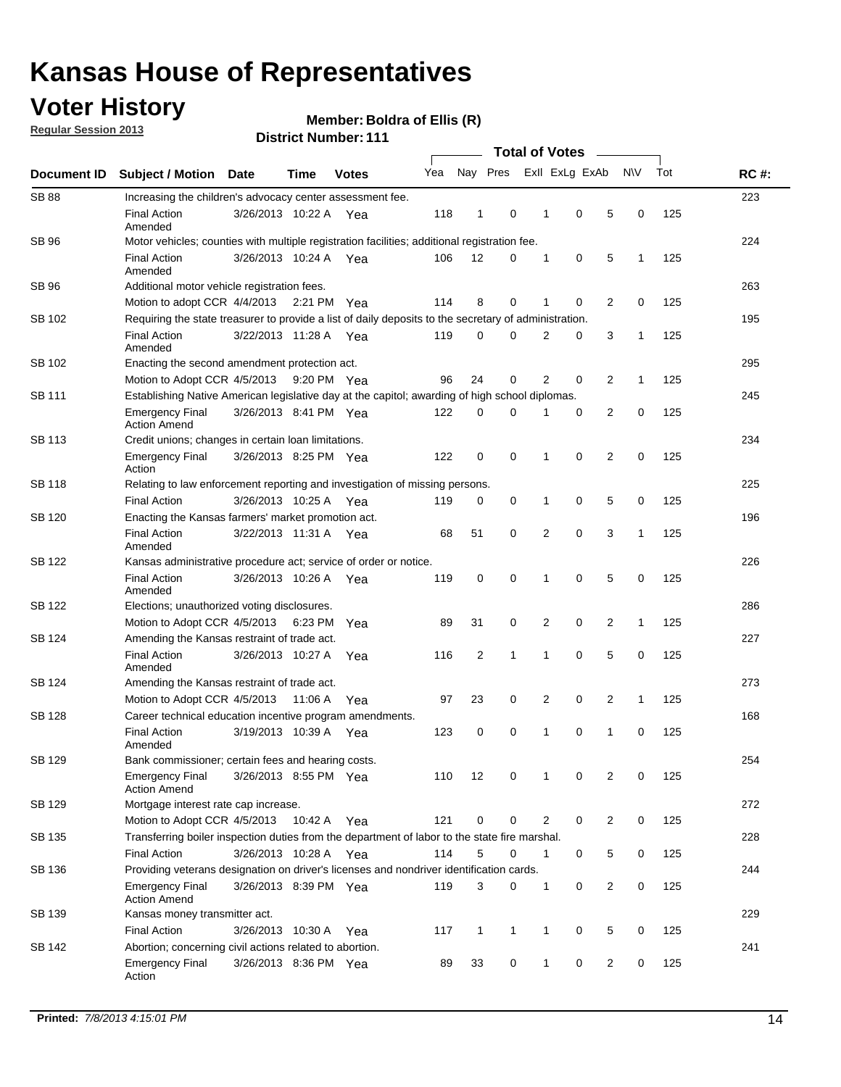## **Voter History**

**Regular Session 2013**

#### **Member: Boldra of Ellis (R)**

|                    |                                                                                                       | ו ו ו ושעווואדו איו ואכוש |             | <b>Total of Votes</b> |     |                |              |  |                |                |                |              |     |             |
|--------------------|-------------------------------------------------------------------------------------------------------|---------------------------|-------------|-----------------------|-----|----------------|--------------|--|----------------|----------------|----------------|--------------|-----|-------------|
| <b>Document ID</b> | <b>Subject / Motion</b>                                                                               | <b>Date</b>               | <b>Time</b> | <b>Votes</b>          | Yea | Nay Pres       |              |  |                | Exll ExLg ExAb |                | <b>NV</b>    | Tot | <b>RC#:</b> |
| <b>SB 88</b>       | Increasing the children's advocacy center assessment fee.                                             |                           |             |                       |     |                |              |  |                |                |                |              |     | 223         |
|                    | <b>Final Action</b><br>Amended                                                                        | 3/26/2013 10:22 A         |             | Yea                   | 118 | $\mathbf{1}$   | 0            |  | $\mathbf 1$    | 0              | 5              | 0            | 125 |             |
| <b>SB 96</b>       | Motor vehicles; counties with multiple registration facilities; additional registration fee.          |                           |             |                       |     |                |              |  |                |                |                |              |     | 224         |
|                    | <b>Final Action</b><br>Amended                                                                        | 3/26/2013 10:24 A         |             | Yea                   | 106 | 12             | 0            |  | 1              | 0              | 5              | 1            | 125 |             |
| SB 96              | Additional motor vehicle registration fees.                                                           |                           |             |                       |     |                |              |  |                |                |                |              |     | 263         |
|                    | Motion to adopt CCR 4/4/2013 2:21 PM Yea                                                              |                           |             |                       | 114 | 8              | 0            |  | 1              | 0              | 2              | 0            | 125 |             |
| SB 102             | Requiring the state treasurer to provide a list of daily deposits to the secretary of administration. |                           |             |                       |     |                |              |  |                |                |                |              |     | 195         |
|                    | <b>Final Action</b><br>Amended                                                                        | 3/22/2013 11:28 A         |             | Yea                   | 119 | 0              | 0            |  | 2              | 0              | 3              | 1            | 125 |             |
| SB 102             | Enacting the second amendment protection act.                                                         |                           |             |                       |     |                |              |  |                |                |                |              |     | 295         |
|                    | Motion to Adopt CCR 4/5/2013 9:20 PM Yea                                                              |                           |             |                       | 96  | 24             | 0            |  | 2              | 0              | 2              | $\mathbf{1}$ | 125 |             |
| SB 111             | Establishing Native American legislative day at the capitol; awarding of high school diplomas.        |                           |             |                       |     |                |              |  |                |                |                |              |     | 245         |
|                    | <b>Emergency Final</b><br><b>Action Amend</b>                                                         | 3/26/2013 8:41 PM Yea     |             |                       | 122 | 0              | $\Omega$     |  |                | 0              | $\overline{2}$ | 0            | 125 |             |
| <b>SB 113</b>      | Credit unions; changes in certain loan limitations.                                                   |                           |             |                       |     |                |              |  |                |                |                |              |     | 234         |
|                    | <b>Emergency Final</b><br>Action                                                                      | 3/26/2013 8:25 PM Yea     |             |                       | 122 | $\mathbf 0$    | 0            |  | 1              | $\mathbf 0$    | 2              | 0            | 125 |             |
| <b>SB 118</b>      | Relating to law enforcement reporting and investigation of missing persons.                           |                           |             |                       |     |                |              |  |                |                |                |              |     | 225         |
|                    | <b>Final Action</b>                                                                                   | 3/26/2013 10:25 A         |             | Yea                   | 119 | 0              | 0            |  | 1              | 0              | 5              | 0            | 125 |             |
| <b>SB 120</b>      | Enacting the Kansas farmers' market promotion act.                                                    |                           |             |                       |     |                |              |  |                |                |                |              |     | 196         |
|                    | <b>Final Action</b><br>Amended                                                                        | 3/22/2013 11:31 A Yea     |             |                       | 68  | 51             | 0            |  | $\overline{2}$ | $\mathbf 0$    | 3              | 1            | 125 |             |
| SB 122             | Kansas administrative procedure act; service of order or notice.                                      |                           |             |                       |     |                |              |  |                |                |                |              |     | 226         |
|                    | <b>Final Action</b><br>Amended                                                                        | 3/26/2013 10:26 A Yea     |             |                       | 119 | 0              | 0            |  | 1              | 0              | 5              | 0            | 125 |             |
| SB 122             | Elections; unauthorized voting disclosures.                                                           |                           |             |                       |     |                |              |  |                |                |                |              |     | 286         |
|                    | Motion to Adopt CCR 4/5/2013                                                                          |                           | 6:23 PM     | Yea                   | 89  | 31             | 0            |  | 2              | 0              | 2              | $\mathbf{1}$ | 125 |             |
| SB 124             | Amending the Kansas restraint of trade act.                                                           |                           |             |                       |     |                |              |  |                |                |                |              |     | 227         |
|                    | <b>Final Action</b><br>Amended                                                                        | 3/26/2013 10:27 A         |             | Yea                   | 116 | $\overline{2}$ | 1            |  | 1              | $\mathbf 0$    | 5              | $\mathbf 0$  | 125 |             |
| SB 124             | Amending the Kansas restraint of trade act.                                                           |                           |             |                       |     |                |              |  |                |                |                |              |     | 273         |
|                    | Motion to Adopt CCR 4/5/2013                                                                          |                           | 11:06 A     | Yea                   | 97  | 23             | 0            |  | $\overline{2}$ | $\mathbf 0$    | $\overline{2}$ | 1            | 125 |             |
| SB 128             | Career technical education incentive program amendments.                                              |                           |             |                       |     |                |              |  |                |                |                |              |     | 168         |
|                    | <b>Final Action</b><br>Amended                                                                        | 3/19/2013 10:39 A         |             | Yea                   | 123 | 0              | 0            |  | 1              | 0              | 1              | 0            | 125 |             |
| SB 129             | Bank commissioner; certain fees and hearing costs.                                                    |                           |             |                       |     |                |              |  |                |                |                |              |     | 254         |
|                    | <b>Emergency Final</b><br><b>Action Amend</b>                                                         | 3/26/2013 8:55 PM Yea     |             |                       | 110 | 12             | 0            |  | $\mathbf 1$    | 0              | 2              | 0            | 125 |             |
| SB 129             | Mortgage interest rate cap increase.                                                                  |                           |             |                       |     |                |              |  |                |                |                |              |     | 272         |
|                    | Motion to Adopt CCR 4/5/2013 10:42 A Yea                                                              |                           |             |                       | 121 | $\mathbf 0$    | 0            |  | $\overline{2}$ | 0              | $\overline{2}$ | 0            | 125 |             |
| SB 135             | Transferring boiler inspection duties from the department of labor to the state fire marshal.         |                           |             |                       |     |                |              |  |                |                |                |              |     | 228         |
|                    | Final Action                                                                                          | 3/26/2013 10:28 A Yea     |             |                       | 114 | 5              | 0            |  | $\mathbf{1}$   | 0              | 5              | 0            | 125 |             |
| SB 136             | Providing veterans designation on driver's licenses and nondriver identification cards.               |                           |             |                       |     |                |              |  |                |                |                |              |     | 244         |
|                    | Emergency Final<br><b>Action Amend</b>                                                                | 3/26/2013 8:39 PM Yea     |             |                       | 119 | 3              | 0            |  | 1              | 0              | $\overline{2}$ | 0            | 125 |             |
| SB 139             | Kansas money transmitter act.                                                                         |                           |             |                       |     |                |              |  |                |                |                |              |     | 229         |
|                    | <b>Final Action</b>                                                                                   | 3/26/2013 10:30 A Yea     |             |                       | 117 | $\mathbf{1}$   | $\mathbf{1}$ |  | $\mathbf{1}$   | 0              | 5              | 0            | 125 |             |
| SB 142             | Abortion; concerning civil actions related to abortion.                                               |                           |             |                       |     |                |              |  |                |                |                |              |     | 241         |
|                    | Emergency Final<br>Action                                                                             | 3/26/2013 8:36 PM Yea     |             |                       | 89  | 33             | 0            |  | $\mathbf{1}$   | 0              | $\overline{2}$ | 0            | 125 |             |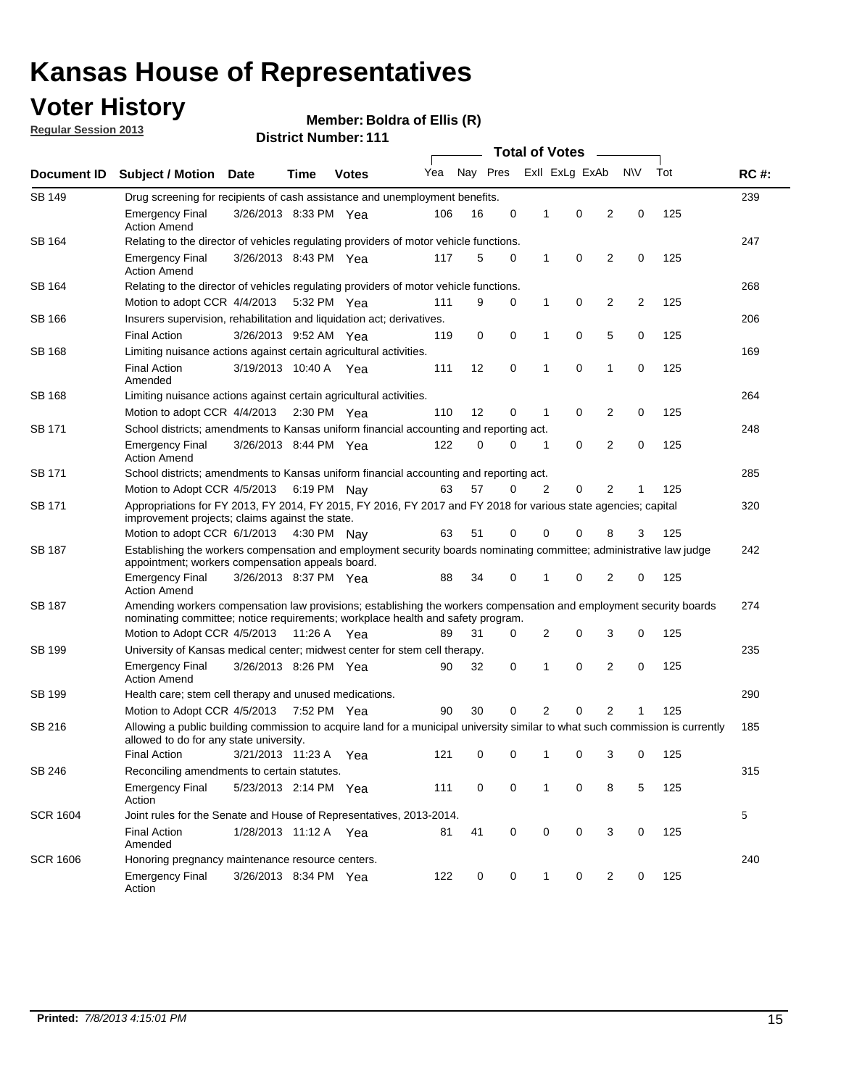## **Voter History**

**Member: Boldra of Ellis (R)** 

**Regular Session 2013**

| Document ID     |                                                                                                                                                                                                       |                                                                                                                                                                         |             |              |     |          |   | <b>Total of Votes</b><br>$\sim$ |                |                |           |     |             |
|-----------------|-------------------------------------------------------------------------------------------------------------------------------------------------------------------------------------------------------|-------------------------------------------------------------------------------------------------------------------------------------------------------------------------|-------------|--------------|-----|----------|---|---------------------------------|----------------|----------------|-----------|-----|-------------|
|                 | <b>Subject / Motion Date</b>                                                                                                                                                                          |                                                                                                                                                                         | Time        | <b>Votes</b> | Yea | Nay Pres |   |                                 | Exll ExLg ExAb |                | <b>NV</b> | Tot | <b>RC#:</b> |
| SB 149          | Drug screening for recipients of cash assistance and unemployment benefits.                                                                                                                           |                                                                                                                                                                         |             |              |     |          |   |                                 |                |                |           |     | 239         |
|                 | <b>Emergency Final</b><br><b>Action Amend</b>                                                                                                                                                         | 3/26/2013 8:33 PM Yea                                                                                                                                                   |             |              | 106 | 16       | 0 | 1                               | 0              | 2              | 0         | 125 |             |
| SB 164          | Relating to the director of vehicles regulating providers of motor vehicle functions.                                                                                                                 |                                                                                                                                                                         |             |              |     |          |   |                                 |                |                |           |     | 247         |
|                 | <b>Emergency Final</b><br><b>Action Amend</b>                                                                                                                                                         | 3/26/2013 8:43 PM Yea                                                                                                                                                   |             |              | 117 | 5        | 0 | 1                               | 0              | 2              | 0         | 125 |             |
| SB 164          | Relating to the director of vehicles regulating providers of motor vehicle functions.                                                                                                                 |                                                                                                                                                                         |             |              |     |          |   |                                 |                |                |           |     | 268         |
|                 | Motion to adopt CCR 4/4/2013                                                                                                                                                                          |                                                                                                                                                                         | 5:32 PM Yea |              | 111 | 9        | 0 | 1                               | 0              | 2              | 2         | 125 |             |
| SB 166          | Insurers supervision, rehabilitation and liquidation act; derivatives.                                                                                                                                |                                                                                                                                                                         |             |              |     |          |   |                                 |                |                |           |     | 206         |
|                 | <b>Final Action</b>                                                                                                                                                                                   | 3/26/2013 9:52 AM Yea                                                                                                                                                   |             |              | 119 | 0        | 0 | 1                               | 0              | 5              | 0         | 125 |             |
| SB 168          | Limiting nuisance actions against certain agricultural activities.                                                                                                                                    |                                                                                                                                                                         |             |              |     |          |   |                                 |                |                |           |     | 169         |
|                 | <b>Final Action</b><br>Amended                                                                                                                                                                        | 3/19/2013 10:40 A Yea                                                                                                                                                   |             |              | 111 | 12       | 0 | 1                               | 0              | 1              | 0         | 125 |             |
| SB 168          | Limiting nuisance actions against certain agricultural activities.                                                                                                                                    |                                                                                                                                                                         |             |              |     |          |   |                                 |                |                |           |     | 264         |
|                 | Motion to adopt CCR 4/4/2013                                                                                                                                                                          |                                                                                                                                                                         | 2:30 PM Yea |              | 110 | 12       | 0 | 1                               | 0              | 2              | 0         | 125 |             |
| <b>SB 171</b>   | School districts; amendments to Kansas uniform financial accounting and reporting act.                                                                                                                |                                                                                                                                                                         |             |              |     |          |   |                                 |                |                |           |     | 248         |
|                 | <b>Emergency Final</b><br><b>Action Amend</b>                                                                                                                                                         | 3/26/2013 8:44 PM Yea                                                                                                                                                   |             |              | 122 | 0        | 0 | 1                               | 0              | 2              | 0         | 125 |             |
| SB 171          | School districts; amendments to Kansas uniform financial accounting and reporting act.                                                                                                                |                                                                                                                                                                         |             |              |     |          |   |                                 |                |                |           |     | 285         |
|                 |                                                                                                                                                                                                       | Motion to Adopt CCR 4/5/2013 6:19 PM Nay<br>57<br>2<br>0<br>2<br>125<br>63<br>0<br>1                                                                                    |             |              |     |          |   |                                 |                |                |           |     |             |
| SB 171          | Appropriations for FY 2013, FY 2014, FY 2015, FY 2016, FY 2017 and FY 2018 for various state agencies; capital<br>improvement projects; claims against the state.                                     |                                                                                                                                                                         |             |              |     |          |   |                                 |                |                |           | 320 |             |
|                 | Motion to adopt CCR 6/1/2013 4:30 PM Nay                                                                                                                                                              |                                                                                                                                                                         |             |              | 63  | 51       | 0 | 0                               | 0              | 8              | 3         | 125 |             |
| SB 187          |                                                                                                                                                                                                       | Establishing the workers compensation and employment security boards nominating committee; administrative law judge<br>appointment; workers compensation appeals board. |             |              |     |          |   |                                 |                |                |           |     | 242         |
|                 | <b>Emergency Final</b><br><b>Action Amend</b>                                                                                                                                                         | 3/26/2013 8:37 PM Yea                                                                                                                                                   |             |              | 88  | 34       | 0 | 1                               | 0              | 2              | 0         | 125 |             |
| SB 187          | Amending workers compensation law provisions; establishing the workers compensation and employment security boards<br>nominating committee; notice requirements; workplace health and safety program. |                                                                                                                                                                         |             |              |     |          |   |                                 |                |                |           |     | 274         |
|                 | Motion to Adopt CCR 4/5/2013 11:26 A Yea                                                                                                                                                              |                                                                                                                                                                         |             |              | 89  | 31       | 0 | 2                               | 0              | 3              | 0         | 125 |             |
| SB 199          | University of Kansas medical center; midwest center for stem cell therapy.                                                                                                                            |                                                                                                                                                                         |             |              |     |          |   |                                 |                |                |           |     | 235         |
|                 | <b>Emergency Final</b><br><b>Action Amend</b>                                                                                                                                                         | 3/26/2013 8:26 PM Yea                                                                                                                                                   |             |              | 90  | 32       | 0 | 1                               | 0              | 2              | 0         | 125 |             |
| SB 199          | Health care; stem cell therapy and unused medications.                                                                                                                                                |                                                                                                                                                                         |             |              |     |          |   |                                 |                |                |           |     | 290         |
|                 | Motion to Adopt CCR 4/5/2013                                                                                                                                                                          |                                                                                                                                                                         | 7:52 PM Yea |              | 90  | 30       | 0 | 2                               | 0              | $\overline{2}$ | 1         | 125 |             |
| SB 216          | Allowing a public building commission to acquire land for a municipal university similar to what such commission is currently<br>allowed to do for any state university.                              |                                                                                                                                                                         |             |              |     |          |   |                                 |                |                |           |     | 185         |
|                 | <b>Final Action</b>                                                                                                                                                                                   | 3/21/2013 11:23 A Yea                                                                                                                                                   |             |              | 121 | 0        | 0 | 1                               | 0              | 3              | 0         | 125 |             |
| SB 246          | Reconciling amendments to certain statutes.                                                                                                                                                           |                                                                                                                                                                         |             |              |     |          |   |                                 |                |                |           |     | 315         |
|                 | Emergency Final<br>Action                                                                                                                                                                             | 5/23/2013 2:14 PM Yea                                                                                                                                                   |             |              | 111 | 0        | 0 | 1                               | 0              | 8              | 5         | 125 |             |
| <b>SCR 1604</b> | Joint rules for the Senate and House of Representatives, 2013-2014.                                                                                                                                   |                                                                                                                                                                         |             |              |     |          |   |                                 |                |                |           |     | 5           |
|                 | <b>Final Action</b><br>Amended                                                                                                                                                                        | 1/28/2013 11:12 A Yea                                                                                                                                                   |             |              | 81  | 41       | 0 | 0                               | 0              | 3              | 0         | 125 |             |
| <b>SCR 1606</b> | Honoring pregnancy maintenance resource centers.                                                                                                                                                      |                                                                                                                                                                         |             |              |     |          |   |                                 |                |                |           |     | 240         |
|                 | <b>Emergency Final</b><br>Action                                                                                                                                                                      | 3/26/2013 8:34 PM Yea                                                                                                                                                   |             |              | 122 | 0        | 0 | 1                               | 0              | 2              | 0         | 125 |             |